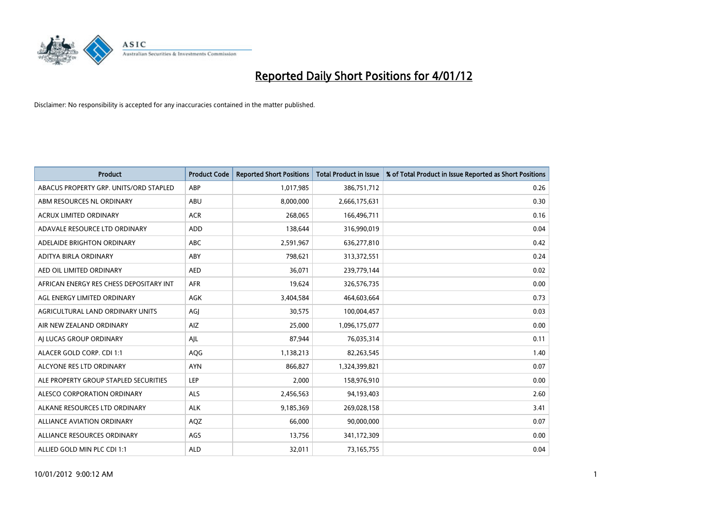

| <b>Product</b>                          | <b>Product Code</b> | <b>Reported Short Positions</b> | <b>Total Product in Issue</b> | % of Total Product in Issue Reported as Short Positions |
|-----------------------------------------|---------------------|---------------------------------|-------------------------------|---------------------------------------------------------|
| ABACUS PROPERTY GRP. UNITS/ORD STAPLED  | ABP                 | 1,017,985                       | 386,751,712                   | 0.26                                                    |
| ABM RESOURCES NL ORDINARY               | ABU                 | 8,000,000                       | 2,666,175,631                 | 0.30                                                    |
| <b>ACRUX LIMITED ORDINARY</b>           | <b>ACR</b>          | 268,065                         | 166,496,711                   | 0.16                                                    |
| ADAVALE RESOURCE LTD ORDINARY           | ADD                 | 138,644                         | 316,990,019                   | 0.04                                                    |
| ADELAIDE BRIGHTON ORDINARY              | <b>ABC</b>          | 2,591,967                       | 636,277,810                   | 0.42                                                    |
| ADITYA BIRLA ORDINARY                   | ABY                 | 798,621                         | 313,372,551                   | 0.24                                                    |
| AED OIL LIMITED ORDINARY                | <b>AED</b>          | 36,071                          | 239,779,144                   | 0.02                                                    |
| AFRICAN ENERGY RES CHESS DEPOSITARY INT | <b>AFR</b>          | 19,624                          | 326,576,735                   | 0.00                                                    |
| AGL ENERGY LIMITED ORDINARY             | AGK                 | 3,404,584                       | 464,603,664                   | 0.73                                                    |
| AGRICULTURAL LAND ORDINARY UNITS        | AGI                 | 30,575                          | 100,004,457                   | 0.03                                                    |
| AIR NEW ZEALAND ORDINARY                | AIZ                 | 25,000                          | 1,096,175,077                 | 0.00                                                    |
| AI LUCAS GROUP ORDINARY                 | AJL                 | 87,944                          | 76,035,314                    | 0.11                                                    |
| ALACER GOLD CORP. CDI 1:1               | AQG                 | 1,138,213                       | 82,263,545                    | 1.40                                                    |
| ALCYONE RES LTD ORDINARY                | <b>AYN</b>          | 866.827                         | 1,324,399,821                 | 0.07                                                    |
| ALE PROPERTY GROUP STAPLED SECURITIES   | LEP                 | 2,000                           | 158,976,910                   | 0.00                                                    |
| ALESCO CORPORATION ORDINARY             | <b>ALS</b>          | 2,456,563                       | 94,193,403                    | 2.60                                                    |
| ALKANE RESOURCES LTD ORDINARY           | <b>ALK</b>          | 9,185,369                       | 269,028,158                   | 3.41                                                    |
| ALLIANCE AVIATION ORDINARY              | AQZ                 | 66,000                          | 90,000,000                    | 0.07                                                    |
| ALLIANCE RESOURCES ORDINARY             | AGS                 | 13,756                          | 341,172,309                   | 0.00                                                    |
| ALLIED GOLD MIN PLC CDI 1:1             | <b>ALD</b>          | 32,011                          | 73,165,755                    | 0.04                                                    |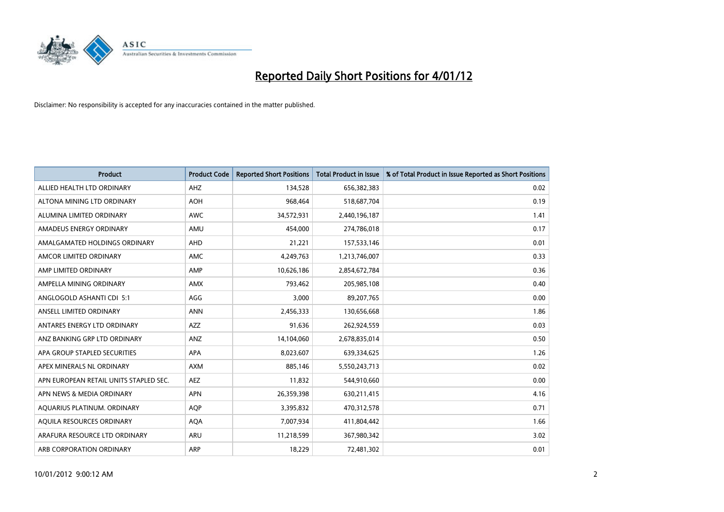

| <b>Product</b>                         | <b>Product Code</b> | <b>Reported Short Positions</b> | <b>Total Product in Issue</b> | % of Total Product in Issue Reported as Short Positions |
|----------------------------------------|---------------------|---------------------------------|-------------------------------|---------------------------------------------------------|
| ALLIED HEALTH LTD ORDINARY             | AHZ                 | 134,528                         | 656,382,383                   | 0.02                                                    |
| ALTONA MINING LTD ORDINARY             | <b>AOH</b>          | 968,464                         | 518,687,704                   | 0.19                                                    |
| ALUMINA LIMITED ORDINARY               | <b>AWC</b>          | 34,572,931                      | 2,440,196,187                 | 1.41                                                    |
| AMADEUS ENERGY ORDINARY                | AMU                 | 454,000                         | 274,786,018                   | 0.17                                                    |
| AMALGAMATED HOLDINGS ORDINARY          | AHD                 | 21,221                          | 157,533,146                   | 0.01                                                    |
| AMCOR LIMITED ORDINARY                 | AMC                 | 4,249,763                       | 1,213,746,007                 | 0.33                                                    |
| AMP LIMITED ORDINARY                   | AMP                 | 10,626,186                      | 2,854,672,784                 | 0.36                                                    |
| AMPELLA MINING ORDINARY                | <b>AMX</b>          | 793,462                         | 205,985,108                   | 0.40                                                    |
| ANGLOGOLD ASHANTI CDI 5:1              | AGG                 | 3,000                           | 89,207,765                    | 0.00                                                    |
| ANSELL LIMITED ORDINARY                | <b>ANN</b>          | 2,456,333                       | 130,656,668                   | 1.86                                                    |
| ANTARES ENERGY LTD ORDINARY            | <b>AZZ</b>          | 91,636                          | 262,924,559                   | 0.03                                                    |
| ANZ BANKING GRP LTD ORDINARY           | ANZ                 | 14,104,060                      | 2,678,835,014                 | 0.50                                                    |
| APA GROUP STAPLED SECURITIES           | <b>APA</b>          | 8,023,607                       | 639,334,625                   | 1.26                                                    |
| APEX MINERALS NL ORDINARY              | <b>AXM</b>          | 885,146                         | 5,550,243,713                 | 0.02                                                    |
| APN EUROPEAN RETAIL UNITS STAPLED SEC. | <b>AEZ</b>          | 11,832                          | 544,910,660                   | 0.00                                                    |
| APN NEWS & MEDIA ORDINARY              | <b>APN</b>          | 26,359,398                      | 630,211,415                   | 4.16                                                    |
| AQUARIUS PLATINUM. ORDINARY            | <b>AOP</b>          | 3,395,832                       | 470,312,578                   | 0.71                                                    |
| AQUILA RESOURCES ORDINARY              | <b>AQA</b>          | 7,007,934                       | 411,804,442                   | 1.66                                                    |
| ARAFURA RESOURCE LTD ORDINARY          | ARU                 | 11,218,599                      | 367,980,342                   | 3.02                                                    |
| ARB CORPORATION ORDINARY               | ARP                 | 18,229                          | 72,481,302                    | 0.01                                                    |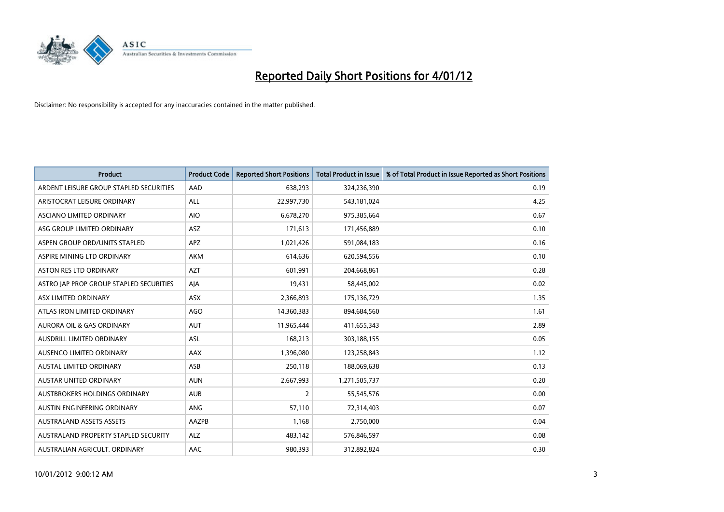

| <b>Product</b>                          | <b>Product Code</b> | <b>Reported Short Positions</b> | <b>Total Product in Issue</b> | % of Total Product in Issue Reported as Short Positions |
|-----------------------------------------|---------------------|---------------------------------|-------------------------------|---------------------------------------------------------|
| ARDENT LEISURE GROUP STAPLED SECURITIES | AAD                 | 638,293                         | 324,236,390                   | 0.19                                                    |
| ARISTOCRAT LEISURE ORDINARY             | <b>ALL</b>          | 22,997,730                      | 543,181,024                   | 4.25                                                    |
| ASCIANO LIMITED ORDINARY                | <b>AIO</b>          | 6,678,270                       | 975,385,664                   | 0.67                                                    |
| ASG GROUP LIMITED ORDINARY              | ASZ                 | 171,613                         | 171,456,889                   | 0.10                                                    |
| ASPEN GROUP ORD/UNITS STAPLED           | <b>APZ</b>          | 1,021,426                       | 591,084,183                   | 0.16                                                    |
| ASPIRE MINING LTD ORDINARY              | <b>AKM</b>          | 614,636                         | 620,594,556                   | 0.10                                                    |
| ASTON RES LTD ORDINARY                  | <b>AZT</b>          | 601.991                         | 204,668,861                   | 0.28                                                    |
| ASTRO JAP PROP GROUP STAPLED SECURITIES | AJA                 | 19,431                          | 58,445,002                    | 0.02                                                    |
| ASX LIMITED ORDINARY                    | <b>ASX</b>          | 2,366,893                       | 175,136,729                   | 1.35                                                    |
| ATLAS IRON LIMITED ORDINARY             | AGO                 | 14,360,383                      | 894,684,560                   | 1.61                                                    |
| AURORA OIL & GAS ORDINARY               | <b>AUT</b>          | 11,965,444                      | 411,655,343                   | 2.89                                                    |
| <b>AUSDRILL LIMITED ORDINARY</b>        | <b>ASL</b>          | 168,213                         | 303,188,155                   | 0.05                                                    |
| AUSENCO LIMITED ORDINARY                | AAX                 | 1,396,080                       | 123,258,843                   | 1.12                                                    |
| <b>AUSTAL LIMITED ORDINARY</b>          | ASB                 | 250,118                         | 188,069,638                   | 0.13                                                    |
| <b>AUSTAR UNITED ORDINARY</b>           | <b>AUN</b>          | 2,667,993                       | 1,271,505,737                 | 0.20                                                    |
| AUSTBROKERS HOLDINGS ORDINARY           | <b>AUB</b>          | $\overline{2}$                  | 55,545,576                    | 0.00                                                    |
| AUSTIN ENGINEERING ORDINARY             | ANG                 | 57,110                          | 72,314,403                    | 0.07                                                    |
| <b>AUSTRALAND ASSETS ASSETS</b>         | AAZPB               | 1,168                           | 2,750,000                     | 0.04                                                    |
| AUSTRALAND PROPERTY STAPLED SECURITY    | <b>ALZ</b>          | 483,142                         | 576,846,597                   | 0.08                                                    |
| AUSTRALIAN AGRICULT. ORDINARY           | AAC                 | 980,393                         | 312,892,824                   | 0.30                                                    |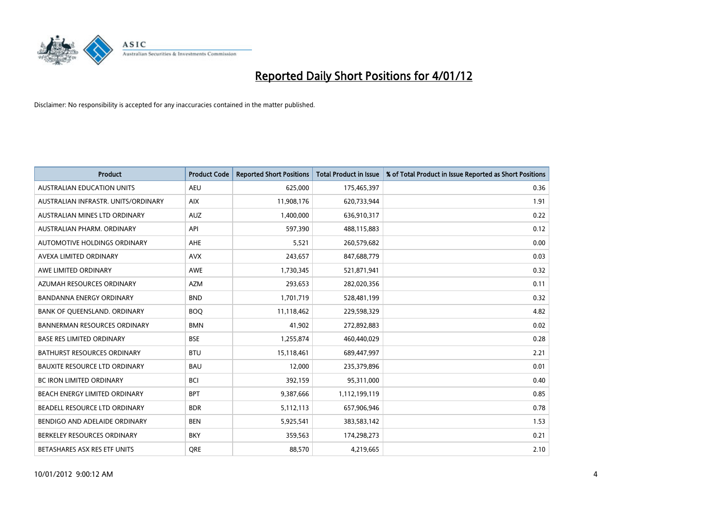

| <b>Product</b>                       | <b>Product Code</b> | <b>Reported Short Positions</b> | <b>Total Product in Issue</b> | % of Total Product in Issue Reported as Short Positions |
|--------------------------------------|---------------------|---------------------------------|-------------------------------|---------------------------------------------------------|
| <b>AUSTRALIAN EDUCATION UNITS</b>    | <b>AEU</b>          | 625,000                         | 175,465,397                   | 0.36                                                    |
| AUSTRALIAN INFRASTR. UNITS/ORDINARY  | <b>AIX</b>          | 11,908,176                      | 620,733,944                   | 1.91                                                    |
| AUSTRALIAN MINES LTD ORDINARY        | <b>AUZ</b>          | 1,400,000                       | 636,910,317                   | 0.22                                                    |
| AUSTRALIAN PHARM. ORDINARY           | API                 | 597,390                         | 488,115,883                   | 0.12                                                    |
| AUTOMOTIVE HOLDINGS ORDINARY         | <b>AHE</b>          | 5,521                           | 260,579,682                   | 0.00                                                    |
| AVEXA LIMITED ORDINARY               | <b>AVX</b>          | 243,657                         | 847,688,779                   | 0.03                                                    |
| AWE LIMITED ORDINARY                 | <b>AWE</b>          | 1,730,345                       | 521,871,941                   | 0.32                                                    |
| AZUMAH RESOURCES ORDINARY            | <b>AZM</b>          | 293,653                         | 282,020,356                   | 0.11                                                    |
| BANDANNA ENERGY ORDINARY             | <b>BND</b>          | 1,701,719                       | 528,481,199                   | 0.32                                                    |
| BANK OF QUEENSLAND. ORDINARY         | <b>BOQ</b>          | 11,118,462                      | 229,598,329                   | 4.82                                                    |
| <b>BANNERMAN RESOURCES ORDINARY</b>  | <b>BMN</b>          | 41,902                          | 272,892,883                   | 0.02                                                    |
| <b>BASE RES LIMITED ORDINARY</b>     | <b>BSE</b>          | 1,255,874                       | 460,440,029                   | 0.28                                                    |
| <b>BATHURST RESOURCES ORDINARY</b>   | <b>BTU</b>          | 15,118,461                      | 689,447,997                   | 2.21                                                    |
| <b>BAUXITE RESOURCE LTD ORDINARY</b> | <b>BAU</b>          | 12,000                          | 235,379,896                   | 0.01                                                    |
| <b>BC IRON LIMITED ORDINARY</b>      | <b>BCI</b>          | 392,159                         | 95,311,000                    | 0.40                                                    |
| BEACH ENERGY LIMITED ORDINARY        | <b>BPT</b>          | 9,387,666                       | 1,112,199,119                 | 0.85                                                    |
| BEADELL RESOURCE LTD ORDINARY        | <b>BDR</b>          | 5,112,113                       | 657,906,946                   | 0.78                                                    |
| BENDIGO AND ADELAIDE ORDINARY        | <b>BEN</b>          | 5,925,541                       | 383,583,142                   | 1.53                                                    |
| BERKELEY RESOURCES ORDINARY          | <b>BKY</b>          | 359,563                         | 174,298,273                   | 0.21                                                    |
| BETASHARES ASX RES ETF UNITS         | <b>ORE</b>          | 88,570                          | 4,219,665                     | 2.10                                                    |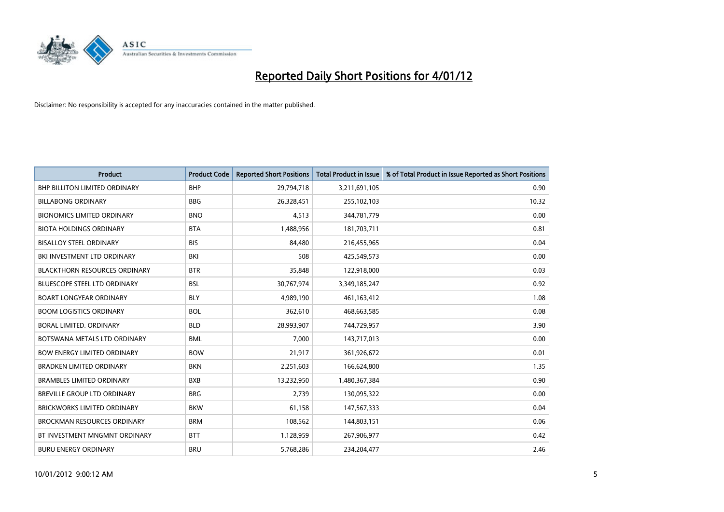

| <b>Product</b>                       | <b>Product Code</b> | <b>Reported Short Positions</b> | <b>Total Product in Issue</b> | % of Total Product in Issue Reported as Short Positions |
|--------------------------------------|---------------------|---------------------------------|-------------------------------|---------------------------------------------------------|
| <b>BHP BILLITON LIMITED ORDINARY</b> | <b>BHP</b>          | 29,794,718                      | 3,211,691,105                 | 0.90                                                    |
| <b>BILLABONG ORDINARY</b>            | <b>BBG</b>          | 26,328,451                      | 255,102,103                   | 10.32                                                   |
| <b>BIONOMICS LIMITED ORDINARY</b>    | <b>BNO</b>          | 4,513                           | 344,781,779                   | 0.00                                                    |
| <b>BIOTA HOLDINGS ORDINARY</b>       | <b>BTA</b>          | 1,488,956                       | 181,703,711                   | 0.81                                                    |
| <b>BISALLOY STEEL ORDINARY</b>       | <b>BIS</b>          | 84.480                          | 216,455,965                   | 0.04                                                    |
| BKI INVESTMENT LTD ORDINARY          | BKI                 | 508                             | 425,549,573                   | 0.00                                                    |
| <b>BLACKTHORN RESOURCES ORDINARY</b> | <b>BTR</b>          | 35,848                          | 122,918,000                   | 0.03                                                    |
| <b>BLUESCOPE STEEL LTD ORDINARY</b>  | <b>BSL</b>          | 30,767,974                      | 3,349,185,247                 | 0.92                                                    |
| <b>BOART LONGYEAR ORDINARY</b>       | <b>BLY</b>          | 4,989,190                       | 461,163,412                   | 1.08                                                    |
| <b>BOOM LOGISTICS ORDINARY</b>       | <b>BOL</b>          | 362,610                         | 468,663,585                   | 0.08                                                    |
| BORAL LIMITED, ORDINARY              | <b>BLD</b>          | 28,993,907                      | 744,729,957                   | 3.90                                                    |
| BOTSWANA METALS LTD ORDINARY         | <b>BML</b>          | 7,000                           | 143,717,013                   | 0.00                                                    |
| <b>BOW ENERGY LIMITED ORDINARY</b>   | <b>BOW</b>          | 21,917                          | 361,926,672                   | 0.01                                                    |
| <b>BRADKEN LIMITED ORDINARY</b>      | <b>BKN</b>          | 2,251,603                       | 166,624,800                   | 1.35                                                    |
| <b>BRAMBLES LIMITED ORDINARY</b>     | <b>BXB</b>          | 13,232,950                      | 1,480,367,384                 | 0.90                                                    |
| BREVILLE GROUP LTD ORDINARY          | <b>BRG</b>          | 2,739                           | 130,095,322                   | 0.00                                                    |
| <b>BRICKWORKS LIMITED ORDINARY</b>   | <b>BKW</b>          | 61,158                          | 147,567,333                   | 0.04                                                    |
| <b>BROCKMAN RESOURCES ORDINARY</b>   | <b>BRM</b>          | 108,562                         | 144,803,151                   | 0.06                                                    |
| BT INVESTMENT MNGMNT ORDINARY        | <b>BTT</b>          | 1,128,959                       | 267,906,977                   | 0.42                                                    |
| <b>BURU ENERGY ORDINARY</b>          | <b>BRU</b>          | 5,768,286                       | 234,204,477                   | 2.46                                                    |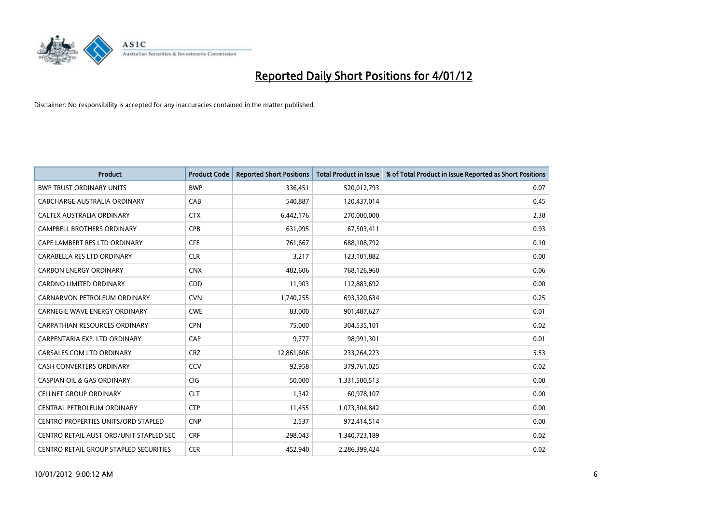

| <b>Product</b>                             | <b>Product Code</b> | <b>Reported Short Positions</b> | <b>Total Product in Issue</b> | % of Total Product in Issue Reported as Short Positions |
|--------------------------------------------|---------------------|---------------------------------|-------------------------------|---------------------------------------------------------|
| <b>BWP TRUST ORDINARY UNITS</b>            | <b>BWP</b>          | 336,451                         | 520,012,793                   | 0.07                                                    |
| CABCHARGE AUSTRALIA ORDINARY               | CAB                 | 540,887                         | 120,437,014                   | 0.45                                                    |
| <b>CALTEX AUSTRALIA ORDINARY</b>           | <b>CTX</b>          | 6,442,176                       | 270,000,000                   | 2.38                                                    |
| CAMPBELL BROTHERS ORDINARY                 | <b>CPB</b>          | 631,095                         | 67,503,411                    | 0.93                                                    |
| CAPE LAMBERT RES LTD ORDINARY              | <b>CFE</b>          | 761,667                         | 688,108,792                   | 0.10                                                    |
| CARABELLA RES LTD ORDINARY                 | <b>CLR</b>          | 3,217                           | 123,101,882                   | 0.00                                                    |
| <b>CARBON ENERGY ORDINARY</b>              | <b>CNX</b>          | 482.606                         | 768,126,960                   | 0.06                                                    |
| <b>CARDNO LIMITED ORDINARY</b>             | CDD                 | 11,903                          | 112,883,692                   | 0.00                                                    |
| CARNARVON PETROLEUM ORDINARY               | <b>CVN</b>          | 1,740,255                       | 693,320,634                   | 0.25                                                    |
| <b>CARNEGIE WAVE ENERGY ORDINARY</b>       | <b>CWE</b>          | 83,000                          | 901,487,627                   | 0.01                                                    |
| <b>CARPATHIAN RESOURCES ORDINARY</b>       | <b>CPN</b>          | 75,000                          | 304,535,101                   | 0.02                                                    |
| CARPENTARIA EXP. LTD ORDINARY              | CAP                 | 9.777                           | 98,991,301                    | 0.01                                                    |
| CARSALES.COM LTD ORDINARY                  | <b>CRZ</b>          | 12,861,606                      | 233,264,223                   | 5.53                                                    |
| <b>CASH CONVERTERS ORDINARY</b>            | CCV                 | 92,958                          | 379,761,025                   | 0.02                                                    |
| <b>CASPIAN OIL &amp; GAS ORDINARY</b>      | <b>CIG</b>          | 50,000                          | 1,331,500,513                 | 0.00                                                    |
| <b>CELLNET GROUP ORDINARY</b>              | <b>CLT</b>          | 1,342                           | 60,978,107                    | 0.00                                                    |
| CENTRAL PETROLEUM ORDINARY                 | <b>CTP</b>          | 11,455                          | 1,073,304,842                 | 0.00                                                    |
| <b>CENTRO PROPERTIES UNITS/ORD STAPLED</b> | <b>CNP</b>          | 2,537                           | 972,414,514                   | 0.00                                                    |
| CENTRO RETAIL AUST ORD/UNIT STAPLED SEC    | <b>CRF</b>          | 298,043                         | 1,340,723,189                 | 0.02                                                    |
| CENTRO RETAIL GROUP STAPLED SECURITIES     | <b>CER</b>          | 452.940                         | 2,286,399,424                 | 0.02                                                    |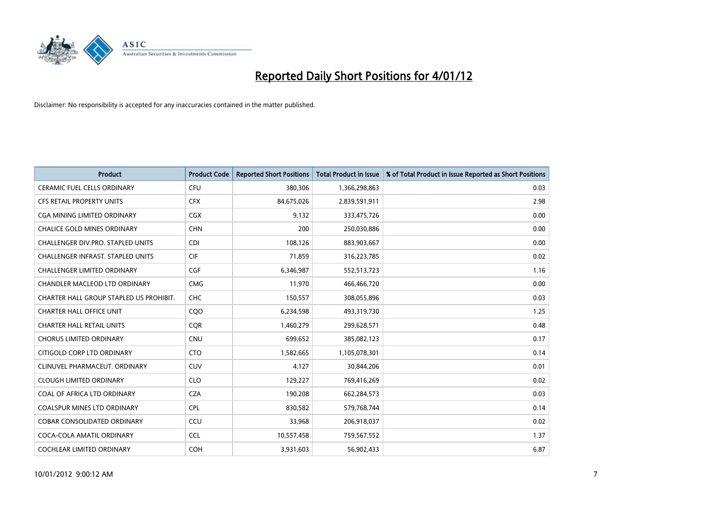

| <b>Product</b>                           | <b>Product Code</b> | <b>Reported Short Positions</b> | <b>Total Product in Issue</b> | % of Total Product in Issue Reported as Short Positions |
|------------------------------------------|---------------------|---------------------------------|-------------------------------|---------------------------------------------------------|
| <b>CERAMIC FUEL CELLS ORDINARY</b>       | <b>CFU</b>          | 380,306                         | 1,366,298,863                 | 0.03                                                    |
| <b>CFS RETAIL PROPERTY UNITS</b>         | <b>CFX</b>          | 84,675,026                      | 2,839,591,911                 | 2.98                                                    |
| <b>CGA MINING LIMITED ORDINARY</b>       | <b>CGX</b>          | 9,132                           | 333,475,726                   | 0.00                                                    |
| CHALICE GOLD MINES ORDINARY              | <b>CHN</b>          | 200                             | 250,030,886                   | 0.00                                                    |
| CHALLENGER DIV.PRO. STAPLED UNITS        | <b>CDI</b>          | 108,126                         | 883,903,667                   | 0.00                                                    |
| <b>CHALLENGER INFRAST, STAPLED UNITS</b> | <b>CIF</b>          | 71,859                          | 316,223,785                   | 0.02                                                    |
| <b>CHALLENGER LIMITED ORDINARY</b>       | <b>CGF</b>          | 6,346,987                       | 552,513,723                   | 1.16                                                    |
| CHANDLER MACLEOD LTD ORDINARY            | <b>CMG</b>          | 11,970                          | 466,466,720                   | 0.00                                                    |
| CHARTER HALL GROUP STAPLED US PROHIBIT.  | <b>CHC</b>          | 150,557                         | 308,055,896                   | 0.03                                                    |
| <b>CHARTER HALL OFFICE UNIT</b>          | CQ <sub>O</sub>     | 6,234,598                       | 493,319,730                   | 1.25                                                    |
| <b>CHARTER HALL RETAIL UNITS</b>         | <b>COR</b>          | 1,460,279                       | 299,628,571                   | 0.48                                                    |
| <b>CHORUS LIMITED ORDINARY</b>           | <b>CNU</b>          | 699,652                         | 385,082,123                   | 0.17                                                    |
| CITIGOLD CORP LTD ORDINARY               | <b>CTO</b>          | 1,582,665                       | 1,105,078,301                 | 0.14                                                    |
| CLINUVEL PHARMACEUT, ORDINARY            | <b>CUV</b>          | 4,127                           | 30,844,206                    | 0.01                                                    |
| <b>CLOUGH LIMITED ORDINARY</b>           | <b>CLO</b>          | 129,227                         | 769,416,269                   | 0.02                                                    |
| COAL OF AFRICA LTD ORDINARY              | <b>CZA</b>          | 190,208                         | 662,284,573                   | 0.03                                                    |
| <b>COALSPUR MINES LTD ORDINARY</b>       | <b>CPL</b>          | 830,582                         | 579,768,744                   | 0.14                                                    |
| COBAR CONSOLIDATED ORDINARY              | CCU                 | 33,968                          | 206,918,037                   | 0.02                                                    |
| COCA-COLA AMATIL ORDINARY                | <b>CCL</b>          | 10,557,458                      | 759,567,552                   | 1.37                                                    |
| <b>COCHLEAR LIMITED ORDINARY</b>         | <b>COH</b>          | 3,931,603                       | 56,902,433                    | 6.87                                                    |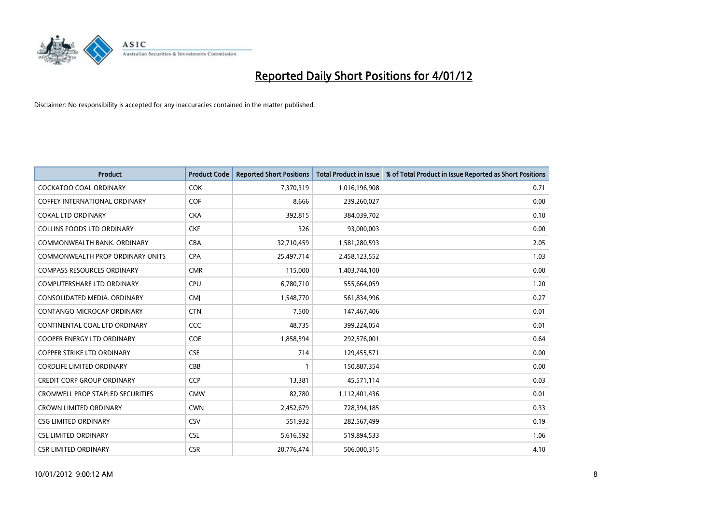

| <b>Product</b>                          | <b>Product Code</b> | <b>Reported Short Positions</b> | <b>Total Product in Issue</b> | % of Total Product in Issue Reported as Short Positions |
|-----------------------------------------|---------------------|---------------------------------|-------------------------------|---------------------------------------------------------|
| <b>COCKATOO COAL ORDINARY</b>           | <b>COK</b>          | 7,370,319                       | 1,016,196,908                 | 0.71                                                    |
| <b>COFFEY INTERNATIONAL ORDINARY</b>    | <b>COF</b>          | 8,666                           | 239,260,027                   | 0.00                                                    |
| <b>COKAL LTD ORDINARY</b>               | <b>CKA</b>          | 392,815                         | 384,039,702                   | 0.10                                                    |
| <b>COLLINS FOODS LTD ORDINARY</b>       | <b>CKF</b>          | 326                             | 93,000,003                    | 0.00                                                    |
| COMMONWEALTH BANK, ORDINARY             | <b>CBA</b>          | 32,710,459                      | 1,581,280,593                 | 2.05                                                    |
| <b>COMMONWEALTH PROP ORDINARY UNITS</b> | <b>CPA</b>          | 25,497,714                      | 2,458,123,552                 | 1.03                                                    |
| <b>COMPASS RESOURCES ORDINARY</b>       | <b>CMR</b>          | 115,000                         | 1,403,744,100                 | 0.00                                                    |
| <b>COMPUTERSHARE LTD ORDINARY</b>       | CPU                 | 6,780,710                       | 555,664,059                   | 1.20                                                    |
| CONSOLIDATED MEDIA. ORDINARY            | <b>CMI</b>          | 1,548,770                       | 561,834,996                   | 0.27                                                    |
| <b>CONTANGO MICROCAP ORDINARY</b>       | <b>CTN</b>          | 7,500                           | 147,467,406                   | 0.01                                                    |
| CONTINENTAL COAL LTD ORDINARY           | CCC                 | 48,735                          | 399,224,054                   | 0.01                                                    |
| <b>COOPER ENERGY LTD ORDINARY</b>       | <b>COE</b>          | 1,858,594                       | 292,576,001                   | 0.64                                                    |
| <b>COPPER STRIKE LTD ORDINARY</b>       | <b>CSE</b>          | 714                             | 129,455,571                   | 0.00                                                    |
| <b>CORDLIFE LIMITED ORDINARY</b>        | CBB                 |                                 | 150,887,354                   | 0.00                                                    |
| <b>CREDIT CORP GROUP ORDINARY</b>       | <b>CCP</b>          | 13,381                          | 45,571,114                    | 0.03                                                    |
| <b>CROMWELL PROP STAPLED SECURITIES</b> | <b>CMW</b>          | 82,780                          | 1,112,401,436                 | 0.01                                                    |
| <b>CROWN LIMITED ORDINARY</b>           | <b>CWN</b>          | 2,452,679                       | 728,394,185                   | 0.33                                                    |
| <b>CSG LIMITED ORDINARY</b>             | CSV                 | 551,932                         | 282,567,499                   | 0.19                                                    |
| <b>CSL LIMITED ORDINARY</b>             | <b>CSL</b>          | 5,616,592                       | 519,894,533                   | 1.06                                                    |
| <b>CSR LIMITED ORDINARY</b>             | <b>CSR</b>          | 20.776.474                      | 506,000,315                   | 4.10                                                    |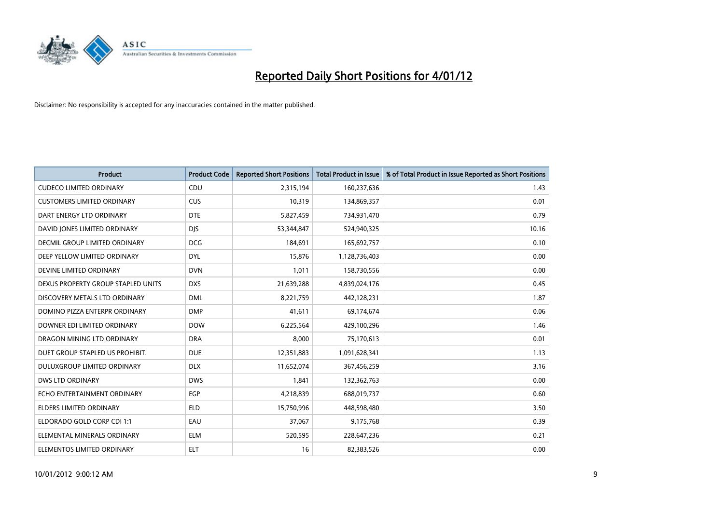

| <b>Product</b>                     | <b>Product Code</b> | <b>Reported Short Positions</b> | <b>Total Product in Issue</b> | % of Total Product in Issue Reported as Short Positions |
|------------------------------------|---------------------|---------------------------------|-------------------------------|---------------------------------------------------------|
| <b>CUDECO LIMITED ORDINARY</b>     | CDU                 | 2,315,194                       | 160,237,636                   | 1.43                                                    |
| <b>CUSTOMERS LIMITED ORDINARY</b>  | <b>CUS</b>          | 10,319                          | 134,869,357                   | 0.01                                                    |
| DART ENERGY LTD ORDINARY           | <b>DTE</b>          | 5,827,459                       | 734,931,470                   | 0.79                                                    |
| DAVID JONES LIMITED ORDINARY       | <b>DIS</b>          | 53,344,847                      | 524,940,325                   | 10.16                                                   |
| DECMIL GROUP LIMITED ORDINARY      | <b>DCG</b>          | 184,691                         | 165,692,757                   | 0.10                                                    |
| DEEP YELLOW LIMITED ORDINARY       | <b>DYL</b>          | 15,876                          | 1,128,736,403                 | 0.00                                                    |
| DEVINE LIMITED ORDINARY            | <b>DVN</b>          | 1,011                           | 158,730,556                   | 0.00                                                    |
| DEXUS PROPERTY GROUP STAPLED UNITS | <b>DXS</b>          | 21,639,288                      | 4,839,024,176                 | 0.45                                                    |
| DISCOVERY METALS LTD ORDINARY      | <b>DML</b>          | 8,221,759                       | 442,128,231                   | 1.87                                                    |
| DOMINO PIZZA ENTERPR ORDINARY      | <b>DMP</b>          | 41,611                          | 69,174,674                    | 0.06                                                    |
| DOWNER EDI LIMITED ORDINARY        | <b>DOW</b>          | 6,225,564                       | 429,100,296                   | 1.46                                                    |
| DRAGON MINING LTD ORDINARY         | <b>DRA</b>          | 8,000                           | 75,170,613                    | 0.01                                                    |
| DUET GROUP STAPLED US PROHIBIT.    | <b>DUE</b>          | 12,351,883                      | 1,091,628,341                 | 1.13                                                    |
| DULUXGROUP LIMITED ORDINARY        | <b>DLX</b>          | 11,652,074                      | 367,456,259                   | 3.16                                                    |
| <b>DWS LTD ORDINARY</b>            | <b>DWS</b>          | 1.841                           | 132,362,763                   | 0.00                                                    |
| ECHO ENTERTAINMENT ORDINARY        | <b>EGP</b>          | 4,218,839                       | 688,019,737                   | 0.60                                                    |
| <b>ELDERS LIMITED ORDINARY</b>     | <b>ELD</b>          | 15,750,996                      | 448,598,480                   | 3.50                                                    |
| ELDORADO GOLD CORP CDI 1:1         | EAU                 | 37,067                          | 9,175,768                     | 0.39                                                    |
| ELEMENTAL MINERALS ORDINARY        | <b>ELM</b>          | 520,595                         | 228,647,236                   | 0.21                                                    |
| ELEMENTOS LIMITED ORDINARY         | <b>ELT</b>          | 16                              | 82,383,526                    | 0.00                                                    |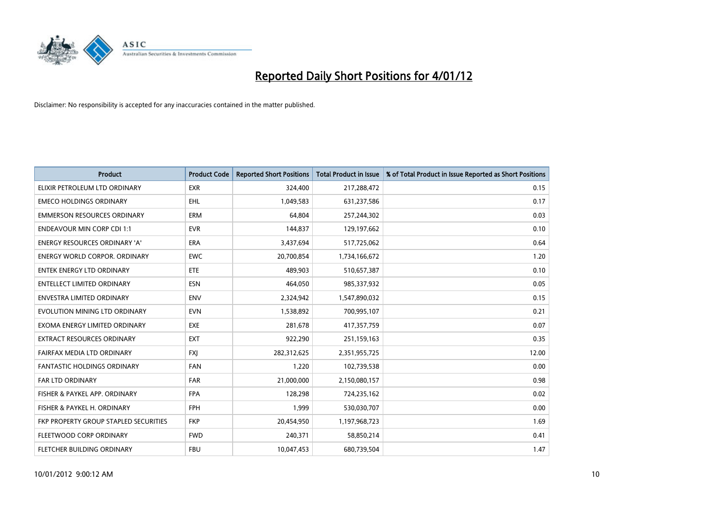

| <b>Product</b>                        | <b>Product Code</b> | <b>Reported Short Positions</b> | <b>Total Product in Issue</b> | % of Total Product in Issue Reported as Short Positions |
|---------------------------------------|---------------------|---------------------------------|-------------------------------|---------------------------------------------------------|
| ELIXIR PETROLEUM LTD ORDINARY         | <b>EXR</b>          | 324,400                         | 217,288,472                   | 0.15                                                    |
| <b>EMECO HOLDINGS ORDINARY</b>        | <b>EHL</b>          | 1,049,583                       | 631,237,586                   | 0.17                                                    |
| <b>EMMERSON RESOURCES ORDINARY</b>    | <b>ERM</b>          | 64.804                          | 257,244,302                   | 0.03                                                    |
| <b>ENDEAVOUR MIN CORP CDI 1:1</b>     | <b>EVR</b>          | 144,837                         | 129,197,662                   | 0.10                                                    |
| <b>ENERGY RESOURCES ORDINARY 'A'</b>  | <b>ERA</b>          | 3,437,694                       | 517,725,062                   | 0.64                                                    |
| <b>ENERGY WORLD CORPOR, ORDINARY</b>  | <b>EWC</b>          | 20,700,854                      | 1,734,166,672                 | 1.20                                                    |
| <b>ENTEK ENERGY LTD ORDINARY</b>      | ETE                 | 489,903                         | 510,657,387                   | 0.10                                                    |
| ENTELLECT LIMITED ORDINARY            | <b>ESN</b>          | 464,050                         | 985,337,932                   | 0.05                                                    |
| <b>ENVESTRA LIMITED ORDINARY</b>      | <b>ENV</b>          | 2,324,942                       | 1,547,890,032                 | 0.15                                                    |
| EVOLUTION MINING LTD ORDINARY         | <b>EVN</b>          | 1,538,892                       | 700,995,107                   | 0.21                                                    |
| EXOMA ENERGY LIMITED ORDINARY         | <b>EXE</b>          | 281,678                         | 417,357,759                   | 0.07                                                    |
| <b>EXTRACT RESOURCES ORDINARY</b>     | <b>EXT</b>          | 922,290                         | 251,159,163                   | 0.35                                                    |
| FAIRFAX MEDIA LTD ORDINARY            | <b>FXI</b>          | 282,312,625                     | 2,351,955,725                 | 12.00                                                   |
| <b>FANTASTIC HOLDINGS ORDINARY</b>    | <b>FAN</b>          | 1,220                           | 102,739,538                   | 0.00                                                    |
| FAR LTD ORDINARY                      | <b>FAR</b>          | 21,000,000                      | 2,150,080,157                 | 0.98                                                    |
| FISHER & PAYKEL APP. ORDINARY         | <b>FPA</b>          | 128,298                         | 724,235,162                   | 0.02                                                    |
| FISHER & PAYKEL H. ORDINARY           | <b>FPH</b>          | 1,999                           | 530,030,707                   | 0.00                                                    |
| FKP PROPERTY GROUP STAPLED SECURITIES | <b>FKP</b>          | 20,454,950                      | 1,197,968,723                 | 1.69                                                    |
| FLEETWOOD CORP ORDINARY               | <b>FWD</b>          | 240,371                         | 58,850,214                    | 0.41                                                    |
| FLETCHER BUILDING ORDINARY            | <b>FBU</b>          | 10,047,453                      | 680,739,504                   | 1.47                                                    |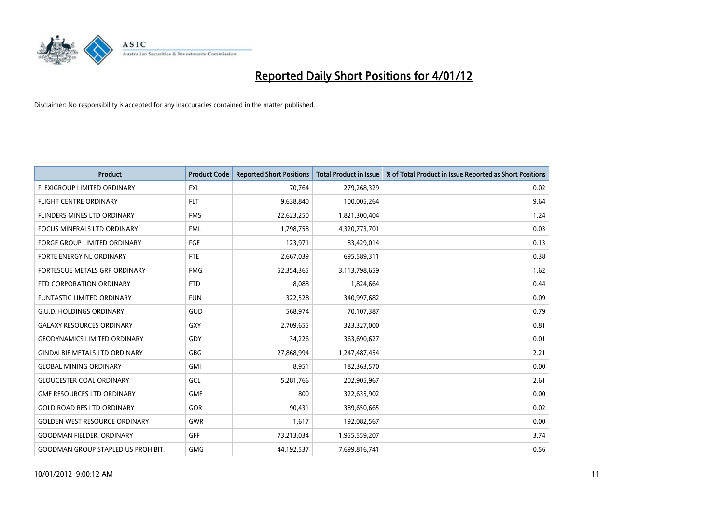

| <b>Product</b>                            | <b>Product Code</b> | <b>Reported Short Positions</b> | <b>Total Product in Issue</b> | % of Total Product in Issue Reported as Short Positions |
|-------------------------------------------|---------------------|---------------------------------|-------------------------------|---------------------------------------------------------|
| FLEXIGROUP LIMITED ORDINARY               | <b>FXL</b>          | 70,764                          | 279,268,329                   | 0.02                                                    |
| FLIGHT CENTRE ORDINARY                    | <b>FLT</b>          | 9,638,840                       | 100,005,264                   | 9.64                                                    |
| FLINDERS MINES LTD ORDINARY               | <b>FMS</b>          | 22,623,250                      | 1,821,300,404                 | 1.24                                                    |
| FOCUS MINERALS LTD ORDINARY               | <b>FML</b>          | 1,798,758                       | 4,320,773,701                 | 0.03                                                    |
| <b>FORGE GROUP LIMITED ORDINARY</b>       | FGE                 | 123,971                         | 83,429,014                    | 0.13                                                    |
| <b>FORTE ENERGY NL ORDINARY</b>           | <b>FTE</b>          | 2,667,039                       | 695,589,311                   | 0.38                                                    |
| <b>FORTESCUE METALS GRP ORDINARY</b>      | <b>FMG</b>          | 52,354,365                      | 3,113,798,659                 | 1.62                                                    |
| FTD CORPORATION ORDINARY                  | <b>FTD</b>          | 8,088                           | 1,824,664                     | 0.44                                                    |
| FUNTASTIC LIMITED ORDINARY                | <b>FUN</b>          | 322,528                         | 340,997,682                   | 0.09                                                    |
| <b>G.U.D. HOLDINGS ORDINARY</b>           | <b>GUD</b>          | 568,974                         | 70,107,387                    | 0.79                                                    |
| <b>GALAXY RESOURCES ORDINARY</b>          | GXY                 | 2,709,655                       | 323,327,000                   | 0.81                                                    |
| <b>GEODYNAMICS LIMITED ORDINARY</b>       | GDY                 | 34,226                          | 363,690,627                   | 0.01                                                    |
| <b>GINDALBIE METALS LTD ORDINARY</b>      | <b>GBG</b>          | 27,868,994                      | 1,247,487,454                 | 2.21                                                    |
| <b>GLOBAL MINING ORDINARY</b>             | GMI                 | 8,951                           | 182,363,570                   | 0.00                                                    |
| <b>GLOUCESTER COAL ORDINARY</b>           | GCL                 | 5,281,766                       | 202,905,967                   | 2.61                                                    |
| <b>GME RESOURCES LTD ORDINARY</b>         | <b>GME</b>          | 800                             | 322,635,902                   | 0.00                                                    |
| <b>GOLD ROAD RES LTD ORDINARY</b>         | GOR                 | 90,431                          | 389,650,665                   | 0.02                                                    |
| <b>GOLDEN WEST RESOURCE ORDINARY</b>      | <b>GWR</b>          | 1,617                           | 192,082,567                   | 0.00                                                    |
| <b>GOODMAN FIELDER, ORDINARY</b>          | <b>GFF</b>          | 73,213,034                      | 1,955,559,207                 | 3.74                                                    |
| <b>GOODMAN GROUP STAPLED US PROHIBIT.</b> | <b>GMG</b>          | 44,192,537                      | 7,699,816,741                 | 0.56                                                    |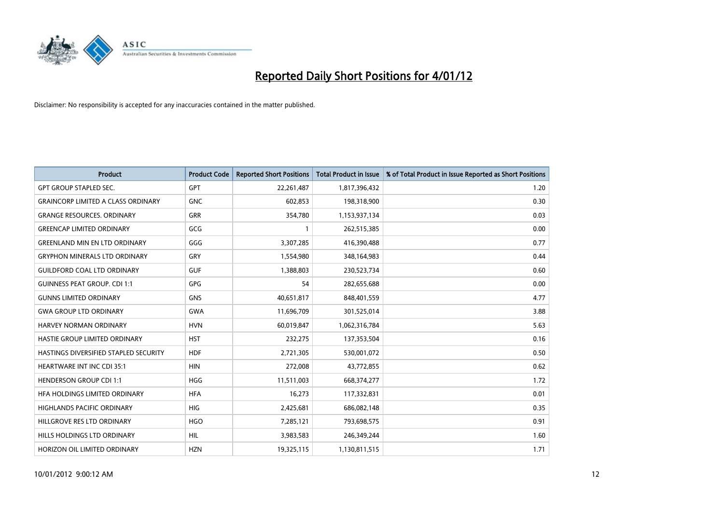

| <b>Product</b>                               | <b>Product Code</b> | <b>Reported Short Positions</b> | <b>Total Product in Issue</b> | % of Total Product in Issue Reported as Short Positions |
|----------------------------------------------|---------------------|---------------------------------|-------------------------------|---------------------------------------------------------|
| <b>GPT GROUP STAPLED SEC.</b>                | GPT                 | 22,261,487                      | 1,817,396,432                 | 1.20                                                    |
| <b>GRAINCORP LIMITED A CLASS ORDINARY</b>    | <b>GNC</b>          | 602,853                         | 198,318,900                   | 0.30                                                    |
| <b>GRANGE RESOURCES, ORDINARY</b>            | <b>GRR</b>          | 354,780                         | 1,153,937,134                 | 0.03                                                    |
| <b>GREENCAP LIMITED ORDINARY</b>             | GCG                 | 1                               | 262,515,385                   | 0.00                                                    |
| <b>GREENLAND MIN EN LTD ORDINARY</b>         | GGG                 | 3,307,285                       | 416,390,488                   | 0.77                                                    |
| <b>GRYPHON MINERALS LTD ORDINARY</b>         | GRY                 | 1,554,980                       | 348,164,983                   | 0.44                                                    |
| <b>GUILDFORD COAL LTD ORDINARY</b>           | <b>GUF</b>          | 1,388,803                       | 230,523,734                   | 0.60                                                    |
| <b>GUINNESS PEAT GROUP. CDI 1:1</b>          | GPG                 | 54                              | 282,655,688                   | 0.00                                                    |
| <b>GUNNS LIMITED ORDINARY</b>                | <b>GNS</b>          | 40,651,817                      | 848,401,559                   | 4.77                                                    |
| <b>GWA GROUP LTD ORDINARY</b>                | <b>GWA</b>          | 11,696,709                      | 301,525,014                   | 3.88                                                    |
| <b>HARVEY NORMAN ORDINARY</b>                | <b>HVN</b>          | 60,019,847                      | 1,062,316,784                 | 5.63                                                    |
| HASTIE GROUP LIMITED ORDINARY                | <b>HST</b>          | 232,275                         | 137,353,504                   | 0.16                                                    |
| <b>HASTINGS DIVERSIFIED STAPLED SECURITY</b> | <b>HDF</b>          | 2,721,305                       | 530,001,072                   | 0.50                                                    |
| <b>HEARTWARE INT INC CDI 35:1</b>            | <b>HIN</b>          | 272,008                         | 43,772,855                    | 0.62                                                    |
| <b>HENDERSON GROUP CDI 1:1</b>               | <b>HGG</b>          | 11,511,003                      | 668,374,277                   | 1.72                                                    |
| HFA HOLDINGS LIMITED ORDINARY                | <b>HFA</b>          | 16,273                          | 117,332,831                   | 0.01                                                    |
| <b>HIGHLANDS PACIFIC ORDINARY</b>            | <b>HIG</b>          | 2,425,681                       | 686,082,148                   | 0.35                                                    |
| HILLGROVE RES LTD ORDINARY                   | <b>HGO</b>          | 7,285,121                       | 793,698,575                   | 0.91                                                    |
| HILLS HOLDINGS LTD ORDINARY                  | <b>HIL</b>          | 3,983,583                       | 246,349,244                   | 1.60                                                    |
| HORIZON OIL LIMITED ORDINARY                 | <b>HZN</b>          | 19,325,115                      | 1,130,811,515                 | 1.71                                                    |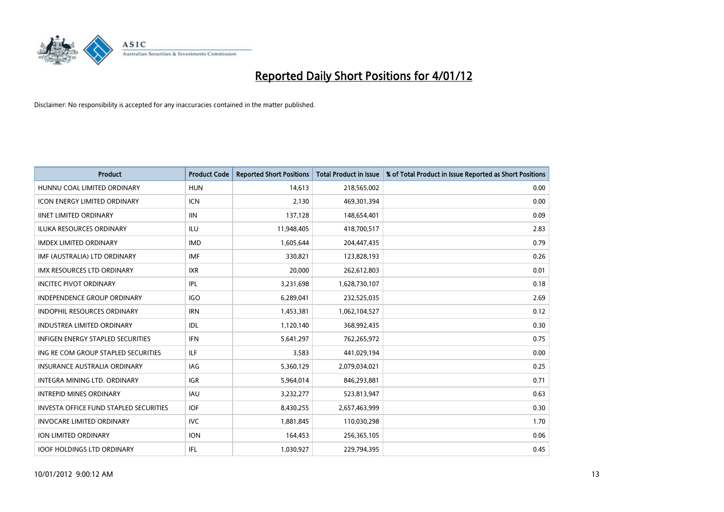

| <b>Product</b>                                | <b>Product Code</b> | <b>Reported Short Positions</b> | <b>Total Product in Issue</b> | % of Total Product in Issue Reported as Short Positions |
|-----------------------------------------------|---------------------|---------------------------------|-------------------------------|---------------------------------------------------------|
| HUNNU COAL LIMITED ORDINARY                   | <b>HUN</b>          | 14,613                          | 218,565,002                   | 0.00                                                    |
| ICON ENERGY LIMITED ORDINARY                  | <b>ICN</b>          | 2,130                           | 469,301,394                   | 0.00                                                    |
| <b>IINET LIMITED ORDINARY</b>                 | <b>IIN</b>          | 137,128                         | 148,654,401                   | 0.09                                                    |
| ILUKA RESOURCES ORDINARY                      | ILU                 | 11,948,405                      | 418,700,517                   | 2.83                                                    |
| <b>IMDEX LIMITED ORDINARY</b>                 | <b>IMD</b>          | 1,605,644                       | 204,447,435                   | 0.79                                                    |
| IMF (AUSTRALIA) LTD ORDINARY                  | <b>IMF</b>          | 330,821                         | 123,828,193                   | 0.26                                                    |
| <b>IMX RESOURCES LTD ORDINARY</b>             | <b>IXR</b>          | 20.000                          | 262,612,803                   | 0.01                                                    |
| <b>INCITEC PIVOT ORDINARY</b>                 | IPL                 | 3,231,698                       | 1,628,730,107                 | 0.18                                                    |
| INDEPENDENCE GROUP ORDINARY                   | <b>IGO</b>          | 6,289,041                       | 232,525,035                   | 2.69                                                    |
| <b>INDOPHIL RESOURCES ORDINARY</b>            | <b>IRN</b>          | 1,453,381                       | 1,062,104,527                 | 0.12                                                    |
| <b>INDUSTREA LIMITED ORDINARY</b>             | IDL                 | 1,120,140                       | 368,992,435                   | 0.30                                                    |
| <b>INFIGEN ENERGY STAPLED SECURITIES</b>      | <b>IFN</b>          | 5,641,297                       | 762,265,972                   | 0.75                                                    |
| ING RE COM GROUP STAPLED SECURITIES           | <b>ILF</b>          | 3,583                           | 441,029,194                   | 0.00                                                    |
| <b>INSURANCE AUSTRALIA ORDINARY</b>           | IAG                 | 5,360,129                       | 2,079,034,021                 | 0.25                                                    |
| <b>INTEGRA MINING LTD, ORDINARY</b>           | <b>IGR</b>          | 5,964,014                       | 846,293,881                   | 0.71                                                    |
| <b>INTREPID MINES ORDINARY</b>                | <b>IAU</b>          | 3,232,277                       | 523,813,947                   | 0.63                                                    |
| <b>INVESTA OFFICE FUND STAPLED SECURITIES</b> | <b>IOF</b>          | 8,430,255                       | 2,657,463,999                 | 0.30                                                    |
| <b>INVOCARE LIMITED ORDINARY</b>              | IVC                 | 1,881,845                       | 110,030,298                   | 1.70                                                    |
| <b>ION LIMITED ORDINARY</b>                   | <b>ION</b>          | 164,453                         | 256,365,105                   | 0.06                                                    |
| <b>IOOF HOLDINGS LTD ORDINARY</b>             | <b>IFL</b>          | 1,030,927                       | 229.794.395                   | 0.45                                                    |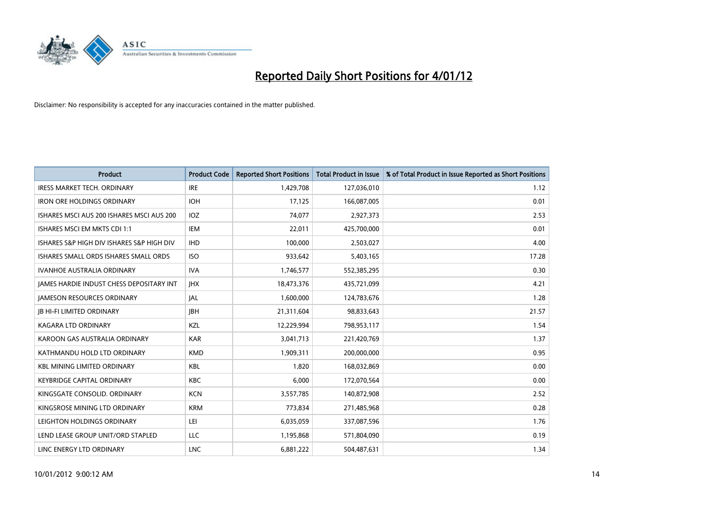

| <b>Product</b>                            | <b>Product Code</b> | <b>Reported Short Positions</b> | <b>Total Product in Issue</b> | % of Total Product in Issue Reported as Short Positions |
|-------------------------------------------|---------------------|---------------------------------|-------------------------------|---------------------------------------------------------|
| <b>IRESS MARKET TECH. ORDINARY</b>        | <b>IRE</b>          | 1,429,708                       | 127,036,010                   | 1.12                                                    |
| <b>IRON ORE HOLDINGS ORDINARY</b>         | <b>IOH</b>          | 17,125                          | 166,087,005                   | 0.01                                                    |
| ISHARES MSCI AUS 200 ISHARES MSCI AUS 200 | <b>IOZ</b>          | 74,077                          | 2,927,373                     | 2.53                                                    |
| ISHARES MSCI EM MKTS CDI 1:1              | <b>IEM</b>          | 22,011                          | 425,700,000                   | 0.01                                                    |
| ISHARES S&P HIGH DIV ISHARES S&P HIGH DIV | <b>IHD</b>          | 100.000                         | 2,503,027                     | 4.00                                                    |
| ISHARES SMALL ORDS ISHARES SMALL ORDS     | <b>ISO</b>          | 933,642                         | 5,403,165                     | 17.28                                                   |
| <b>IVANHOE AUSTRALIA ORDINARY</b>         | <b>IVA</b>          | 1,746,577                       | 552,385,295                   | 0.30                                                    |
| JAMES HARDIE INDUST CHESS DEPOSITARY INT  | <b>IHX</b>          | 18,473,376                      | 435,721,099                   | 4.21                                                    |
| <b>JAMESON RESOURCES ORDINARY</b>         | <b>JAL</b>          | 1,600,000                       | 124,783,676                   | 1.28                                                    |
| <b>IB HI-FI LIMITED ORDINARY</b>          | <b>IBH</b>          | 21,311,604                      | 98,833,643                    | 21.57                                                   |
| <b>KAGARA LTD ORDINARY</b>                | KZL                 | 12,229,994                      | 798,953,117                   | 1.54                                                    |
| KAROON GAS AUSTRALIA ORDINARY             | <b>KAR</b>          | 3,041,713                       | 221,420,769                   | 1.37                                                    |
| KATHMANDU HOLD LTD ORDINARY               | <b>KMD</b>          | 1,909,311                       | 200,000,000                   | 0.95                                                    |
| <b>KBL MINING LIMITED ORDINARY</b>        | <b>KBL</b>          | 1,820                           | 168,032,869                   | 0.00                                                    |
| <b>KEYBRIDGE CAPITAL ORDINARY</b>         | <b>KBC</b>          | 6,000                           | 172,070,564                   | 0.00                                                    |
| KINGSGATE CONSOLID, ORDINARY              | <b>KCN</b>          | 3,557,785                       | 140,872,908                   | 2.52                                                    |
| KINGSROSE MINING LTD ORDINARY             | <b>KRM</b>          | 773,834                         | 271,485,968                   | 0.28                                                    |
| LEIGHTON HOLDINGS ORDINARY                | LEI                 | 6,035,059                       | 337,087,596                   | 1.76                                                    |
| LEND LEASE GROUP UNIT/ORD STAPLED         | LLC                 | 1,195,868                       | 571,804,090                   | 0.19                                                    |
| LINC ENERGY LTD ORDINARY                  | <b>LNC</b>          | 6.881.222                       | 504,487,631                   | 1.34                                                    |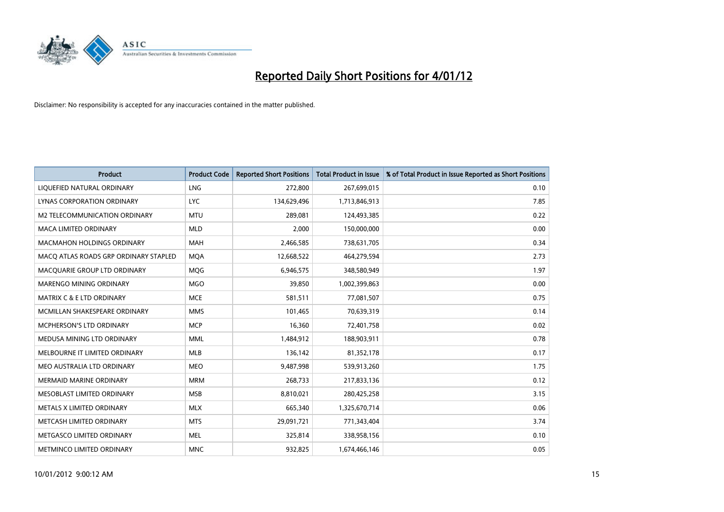

| <b>Product</b>                        | <b>Product Code</b> | <b>Reported Short Positions</b> | <b>Total Product in Issue</b> | % of Total Product in Issue Reported as Short Positions |
|---------------------------------------|---------------------|---------------------------------|-------------------------------|---------------------------------------------------------|
| LIQUEFIED NATURAL ORDINARY            | <b>LNG</b>          | 272,800                         | 267,699,015                   | 0.10                                                    |
| LYNAS CORPORATION ORDINARY            | <b>LYC</b>          | 134,629,496                     | 1,713,846,913                 | 7.85                                                    |
| M2 TELECOMMUNICATION ORDINARY         | <b>MTU</b>          | 289,081                         | 124,493,385                   | 0.22                                                    |
| MACA LIMITED ORDINARY                 | <b>MLD</b>          | 2,000                           | 150,000,000                   | 0.00                                                    |
| <b>MACMAHON HOLDINGS ORDINARY</b>     | <b>MAH</b>          | 2,466,585                       | 738,631,705                   | 0.34                                                    |
| MACO ATLAS ROADS GRP ORDINARY STAPLED | <b>MOA</b>          | 12,668,522                      | 464,279,594                   | 2.73                                                    |
| MACQUARIE GROUP LTD ORDINARY          | <b>MOG</b>          | 6,946,575                       | 348,580,949                   | 1.97                                                    |
| <b>MARENGO MINING ORDINARY</b>        | <b>MGO</b>          | 39,850                          | 1,002,399,863                 | 0.00                                                    |
| MATRIX C & E LTD ORDINARY             | <b>MCE</b>          | 581,511                         | 77,081,507                    | 0.75                                                    |
| MCMILLAN SHAKESPEARE ORDINARY         | <b>MMS</b>          | 101,465                         | 70,639,319                    | 0.14                                                    |
| MCPHERSON'S LTD ORDINARY              | <b>MCP</b>          | 16,360                          | 72,401,758                    | 0.02                                                    |
| MEDUSA MINING LTD ORDINARY            | <b>MML</b>          | 1,484,912                       | 188,903,911                   | 0.78                                                    |
| MELBOURNE IT LIMITED ORDINARY         | <b>MLB</b>          | 136,142                         | 81,352,178                    | 0.17                                                    |
| MEO AUSTRALIA LTD ORDINARY            | <b>MEO</b>          | 9,487,998                       | 539,913,260                   | 1.75                                                    |
| <b>MERMAID MARINE ORDINARY</b>        | <b>MRM</b>          | 268,733                         | 217,833,136                   | 0.12                                                    |
| MESOBLAST LIMITED ORDINARY            | <b>MSB</b>          | 8,810,021                       | 280,425,258                   | 3.15                                                    |
| METALS X LIMITED ORDINARY             | <b>MLX</b>          | 665,340                         | 1,325,670,714                 | 0.06                                                    |
| METCASH LIMITED ORDINARY              | <b>MTS</b>          | 29,091,721                      | 771,343,404                   | 3.74                                                    |
| METGASCO LIMITED ORDINARY             | <b>MEL</b>          | 325,814                         | 338,958,156                   | 0.10                                                    |
| <b>METMINCO LIMITED ORDINARY</b>      | <b>MNC</b>          | 932.825                         | 1,674,466,146                 | 0.05                                                    |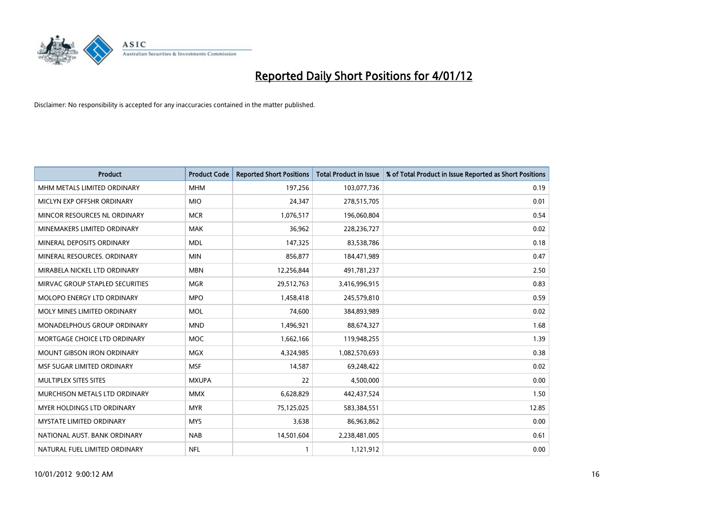

| <b>Product</b>                    | <b>Product Code</b> | <b>Reported Short Positions</b> | <b>Total Product in Issue</b> | % of Total Product in Issue Reported as Short Positions |
|-----------------------------------|---------------------|---------------------------------|-------------------------------|---------------------------------------------------------|
| MHM METALS LIMITED ORDINARY       | <b>MHM</b>          | 197,256                         | 103,077,736                   | 0.19                                                    |
| MICLYN EXP OFFSHR ORDINARY        | <b>MIO</b>          | 24,347                          | 278,515,705                   | 0.01                                                    |
| MINCOR RESOURCES NL ORDINARY      | <b>MCR</b>          | 1,076,517                       | 196,060,804                   | 0.54                                                    |
| MINEMAKERS LIMITED ORDINARY       | <b>MAK</b>          | 36,962                          | 228,236,727                   | 0.02                                                    |
| MINERAL DEPOSITS ORDINARY         | <b>MDL</b>          | 147,325                         | 83,538,786                    | 0.18                                                    |
| MINERAL RESOURCES, ORDINARY       | <b>MIN</b>          | 856,877                         | 184,471,989                   | 0.47                                                    |
| MIRABELA NICKEL LTD ORDINARY      | <b>MBN</b>          | 12,256,844                      | 491,781,237                   | 2.50                                                    |
| MIRVAC GROUP STAPLED SECURITIES   | <b>MGR</b>          | 29,512,763                      | 3,416,996,915                 | 0.83                                                    |
| <b>MOLOPO ENERGY LTD ORDINARY</b> | <b>MPO</b>          | 1,458,418                       | 245,579,810                   | 0.59                                                    |
| MOLY MINES LIMITED ORDINARY       | <b>MOL</b>          | 74,600                          | 384,893,989                   | 0.02                                                    |
| MONADELPHOUS GROUP ORDINARY       | <b>MND</b>          | 1,496,921                       | 88,674,327                    | 1.68                                                    |
| MORTGAGE CHOICE LTD ORDINARY      | <b>MOC</b>          | 1,662,166                       | 119,948,255                   | 1.39                                                    |
| MOUNT GIBSON IRON ORDINARY        | <b>MGX</b>          | 4,324,985                       | 1,082,570,693                 | 0.38                                                    |
| MSF SUGAR LIMITED ORDINARY        | <b>MSF</b>          | 14,587                          | 69,248,422                    | 0.02                                                    |
| MULTIPLEX SITES SITES             | <b>MXUPA</b>        | 22                              | 4,500,000                     | 0.00                                                    |
| MURCHISON METALS LTD ORDINARY     | <b>MMX</b>          | 6,628,829                       | 442,437,524                   | 1.50                                                    |
| MYER HOLDINGS LTD ORDINARY        | <b>MYR</b>          | 75,125,025                      | 583,384,551                   | 12.85                                                   |
| MYSTATE LIMITED ORDINARY          | <b>MYS</b>          | 3,638                           | 86,963,862                    | 0.00                                                    |
| NATIONAL AUST. BANK ORDINARY      | <b>NAB</b>          | 14,501,604                      | 2,238,481,005                 | 0.61                                                    |
| NATURAL FUEL LIMITED ORDINARY     | <b>NFL</b>          | 1                               | 1,121,912                     | 0.00                                                    |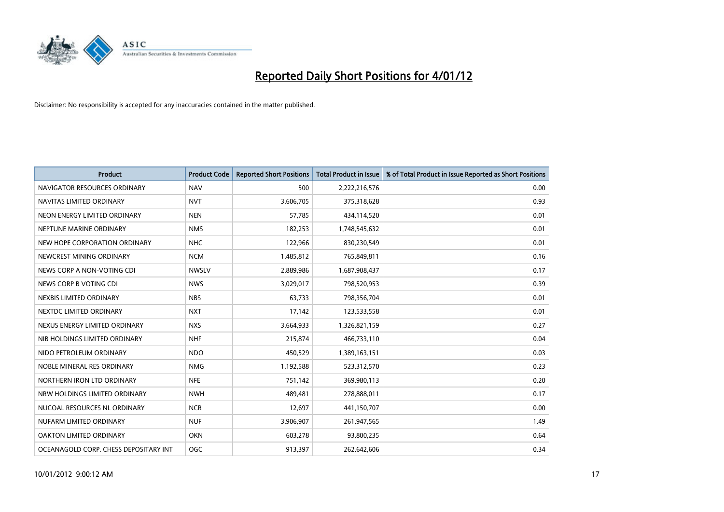

| <b>Product</b>                        | <b>Product Code</b> | <b>Reported Short Positions</b> | <b>Total Product in Issue</b> | % of Total Product in Issue Reported as Short Positions |
|---------------------------------------|---------------------|---------------------------------|-------------------------------|---------------------------------------------------------|
| NAVIGATOR RESOURCES ORDINARY          | <b>NAV</b>          | 500                             | 2,222,216,576                 | 0.00                                                    |
| NAVITAS LIMITED ORDINARY              | <b>NVT</b>          | 3,606,705                       | 375,318,628                   | 0.93                                                    |
| NEON ENERGY LIMITED ORDINARY          | <b>NEN</b>          | 57,785                          | 434,114,520                   | 0.01                                                    |
| NEPTUNE MARINE ORDINARY               | <b>NMS</b>          | 182,253                         | 1,748,545,632                 | 0.01                                                    |
| NEW HOPE CORPORATION ORDINARY         | <b>NHC</b>          | 122,966                         | 830,230,549                   | 0.01                                                    |
| NEWCREST MINING ORDINARY              | <b>NCM</b>          | 1,485,812                       | 765,849,811                   | 0.16                                                    |
| NEWS CORP A NON-VOTING CDI            | <b>NWSLV</b>        | 2,889,986                       | 1,687,908,437                 | 0.17                                                    |
| NEWS CORP B VOTING CDI                | <b>NWS</b>          | 3,029,017                       | 798,520,953                   | 0.39                                                    |
| NEXBIS LIMITED ORDINARY               | <b>NBS</b>          | 63,733                          | 798,356,704                   | 0.01                                                    |
| NEXTDC LIMITED ORDINARY               | <b>NXT</b>          | 17,142                          | 123,533,558                   | 0.01                                                    |
| NEXUS ENERGY LIMITED ORDINARY         | <b>NXS</b>          | 3,664,933                       | 1,326,821,159                 | 0.27                                                    |
| NIB HOLDINGS LIMITED ORDINARY         | <b>NHF</b>          | 215,874                         | 466,733,110                   | 0.04                                                    |
| NIDO PETROLEUM ORDINARY               | <b>NDO</b>          | 450,529                         | 1,389,163,151                 | 0.03                                                    |
| NOBLE MINERAL RES ORDINARY            | <b>NMG</b>          | 1,192,588                       | 523,312,570                   | 0.23                                                    |
| NORTHERN IRON LTD ORDINARY            | <b>NFE</b>          | 751,142                         | 369,980,113                   | 0.20                                                    |
| NRW HOLDINGS LIMITED ORDINARY         | <b>NWH</b>          | 489,481                         | 278,888,011                   | 0.17                                                    |
| NUCOAL RESOURCES NL ORDINARY          | <b>NCR</b>          | 12,697                          | 441,150,707                   | 0.00                                                    |
| NUFARM LIMITED ORDINARY               | <b>NUF</b>          | 3,906,907                       | 261,947,565                   | 1.49                                                    |
| OAKTON LIMITED ORDINARY               | <b>OKN</b>          | 603,278                         | 93,800,235                    | 0.64                                                    |
| OCEANAGOLD CORP. CHESS DEPOSITARY INT | <b>OGC</b>          | 913,397                         | 262,642,606                   | 0.34                                                    |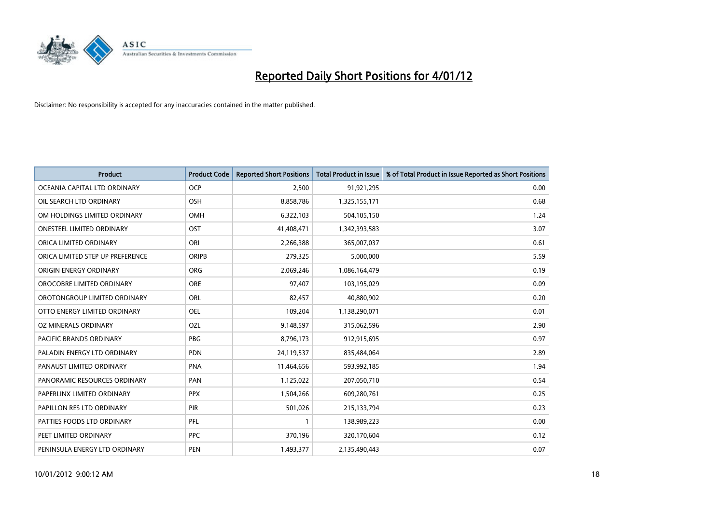

| <b>Product</b>                   | <b>Product Code</b> | <b>Reported Short Positions</b> | <b>Total Product in Issue</b> | % of Total Product in Issue Reported as Short Positions |
|----------------------------------|---------------------|---------------------------------|-------------------------------|---------------------------------------------------------|
| OCEANIA CAPITAL LTD ORDINARY     | <b>OCP</b>          | 2,500                           | 91,921,295                    | 0.00                                                    |
| OIL SEARCH LTD ORDINARY          | OSH                 | 8,858,786                       | 1,325,155,171                 | 0.68                                                    |
| OM HOLDINGS LIMITED ORDINARY     | OMH                 | 6,322,103                       | 504,105,150                   | 1.24                                                    |
| ONESTEEL LIMITED ORDINARY        | OST                 | 41,408,471                      | 1,342,393,583                 | 3.07                                                    |
| ORICA LIMITED ORDINARY           | ORI                 | 2,266,388                       | 365,007,037                   | 0.61                                                    |
| ORICA LIMITED STEP UP PREFERENCE | <b>ORIPB</b>        | 279,325                         | 5,000,000                     | 5.59                                                    |
| ORIGIN ENERGY ORDINARY           | <b>ORG</b>          | 2,069,246                       | 1,086,164,479                 | 0.19                                                    |
| OROCOBRE LIMITED ORDINARY        | <b>ORE</b>          | 97,407                          | 103,195,029                   | 0.09                                                    |
| OROTONGROUP LIMITED ORDINARY     | ORL                 | 82,457                          | 40,880,902                    | 0.20                                                    |
| OTTO ENERGY LIMITED ORDINARY     | <b>OEL</b>          | 109,204                         | 1,138,290,071                 | 0.01                                                    |
| OZ MINERALS ORDINARY             | OZL                 | 9,148,597                       | 315,062,596                   | 2.90                                                    |
| PACIFIC BRANDS ORDINARY          | <b>PBG</b>          | 8,796,173                       | 912,915,695                   | 0.97                                                    |
| PALADIN ENERGY LTD ORDINARY      | <b>PDN</b>          | 24,119,537                      | 835,484,064                   | 2.89                                                    |
| PANAUST LIMITED ORDINARY         | <b>PNA</b>          | 11,464,656                      | 593,992,185                   | 1.94                                                    |
| PANORAMIC RESOURCES ORDINARY     | PAN                 | 1,125,022                       | 207,050,710                   | 0.54                                                    |
| PAPERLINX LIMITED ORDINARY       | <b>PPX</b>          | 1,504,266                       | 609,280,761                   | 0.25                                                    |
| PAPILLON RES LTD ORDINARY        | <b>PIR</b>          | 501,026                         | 215,133,794                   | 0.23                                                    |
| PATTIES FOODS LTD ORDINARY       | PFL                 |                                 | 138,989,223                   | 0.00                                                    |
| PEET LIMITED ORDINARY            | <b>PPC</b>          | 370,196                         | 320,170,604                   | 0.12                                                    |
| PENINSULA ENERGY LTD ORDINARY    | <b>PEN</b>          | 1,493,377                       | 2,135,490,443                 | 0.07                                                    |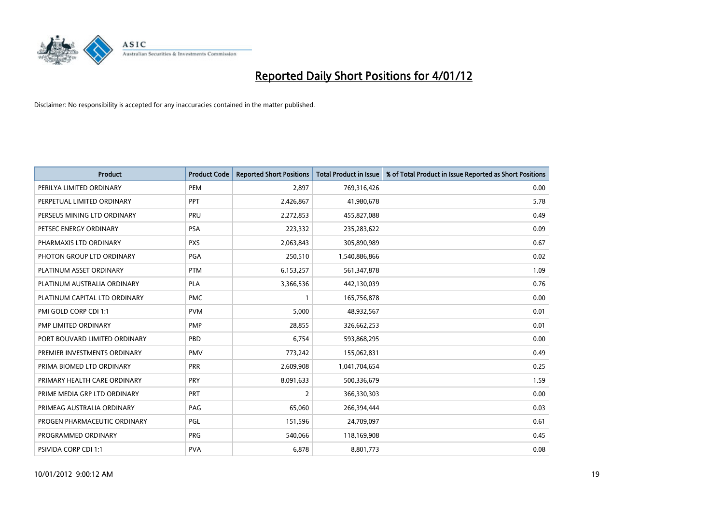

| <b>Product</b>                | <b>Product Code</b> | <b>Reported Short Positions</b> | <b>Total Product in Issue</b> | % of Total Product in Issue Reported as Short Positions |
|-------------------------------|---------------------|---------------------------------|-------------------------------|---------------------------------------------------------|
| PERILYA LIMITED ORDINARY      | PEM                 | 2,897                           | 769,316,426                   | 0.00                                                    |
| PERPETUAL LIMITED ORDINARY    | PPT                 | 2,426,867                       | 41,980,678                    | 5.78                                                    |
| PERSEUS MINING LTD ORDINARY   | PRU                 | 2,272,853                       | 455,827,088                   | 0.49                                                    |
| PETSEC ENERGY ORDINARY        | <b>PSA</b>          | 223,332                         | 235,283,622                   | 0.09                                                    |
| PHARMAXIS LTD ORDINARY        | <b>PXS</b>          | 2,063,843                       | 305,890,989                   | 0.67                                                    |
| PHOTON GROUP LTD ORDINARY     | PGA                 | 250,510                         | 1,540,886,866                 | 0.02                                                    |
| PLATINUM ASSET ORDINARY       | <b>PTM</b>          | 6,153,257                       | 561,347,878                   | 1.09                                                    |
| PLATINUM AUSTRALIA ORDINARY   | <b>PLA</b>          | 3,366,536                       | 442,130,039                   | 0.76                                                    |
| PLATINUM CAPITAL LTD ORDINARY | <b>PMC</b>          |                                 | 165,756,878                   | 0.00                                                    |
| PMI GOLD CORP CDI 1:1         | <b>PVM</b>          | 5,000                           | 48,932,567                    | 0.01                                                    |
| PMP LIMITED ORDINARY          | <b>PMP</b>          | 28,855                          | 326,662,253                   | 0.01                                                    |
| PORT BOUVARD LIMITED ORDINARY | PBD                 | 6,754                           | 593,868,295                   | 0.00                                                    |
| PREMIER INVESTMENTS ORDINARY  | <b>PMV</b>          | 773,242                         | 155,062,831                   | 0.49                                                    |
| PRIMA BIOMED LTD ORDINARY     | <b>PRR</b>          | 2,609,908                       | 1,041,704,654                 | 0.25                                                    |
| PRIMARY HEALTH CARE ORDINARY  | PRY                 | 8,091,633                       | 500,336,679                   | 1.59                                                    |
| PRIME MEDIA GRP LTD ORDINARY  | PRT                 | 2                               | 366,330,303                   | 0.00                                                    |
| PRIMEAG AUSTRALIA ORDINARY    | PAG                 | 65,060                          | 266,394,444                   | 0.03                                                    |
| PROGEN PHARMACEUTIC ORDINARY  | PGL                 | 151,596                         | 24,709,097                    | 0.61                                                    |
| PROGRAMMED ORDINARY           | <b>PRG</b>          | 540,066                         | 118,169,908                   | 0.45                                                    |
| PSIVIDA CORP CDI 1:1          | <b>PVA</b>          | 6,878                           | 8,801,773                     | 0.08                                                    |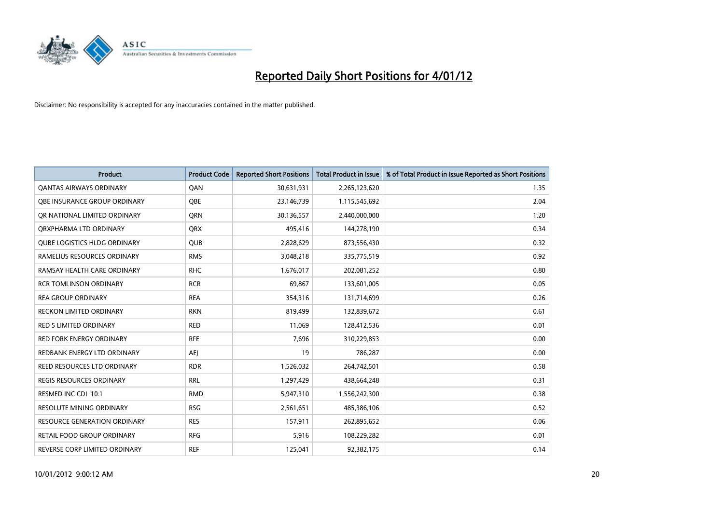

| <b>Product</b>                      | <b>Product Code</b> | <b>Reported Short Positions</b> | <b>Total Product in Issue</b> | % of Total Product in Issue Reported as Short Positions |
|-------------------------------------|---------------------|---------------------------------|-------------------------------|---------------------------------------------------------|
| <b>QANTAS AIRWAYS ORDINARY</b>      | QAN                 | 30,631,931                      | 2,265,123,620                 | 1.35                                                    |
| OBE INSURANCE GROUP ORDINARY        | <b>OBE</b>          | 23,146,739                      | 1,115,545,692                 | 2.04                                                    |
| OR NATIONAL LIMITED ORDINARY        | <b>ORN</b>          | 30,136,557                      | 2,440,000,000                 | 1.20                                                    |
| ORXPHARMA LTD ORDINARY              | <b>ORX</b>          | 495,416                         | 144,278,190                   | 0.34                                                    |
| <b>QUBE LOGISTICS HLDG ORDINARY</b> | <b>QUB</b>          | 2,828,629                       | 873,556,430                   | 0.32                                                    |
| RAMELIUS RESOURCES ORDINARY         | <b>RMS</b>          | 3,048,218                       | 335,775,519                   | 0.92                                                    |
| RAMSAY HEALTH CARE ORDINARY         | <b>RHC</b>          | 1,676,017                       | 202,081,252                   | 0.80                                                    |
| <b>RCR TOMLINSON ORDINARY</b>       | <b>RCR</b>          | 69,867                          | 133,601,005                   | 0.05                                                    |
| <b>REA GROUP ORDINARY</b>           | <b>REA</b>          | 354,316                         | 131,714,699                   | 0.26                                                    |
| <b>RECKON LIMITED ORDINARY</b>      | <b>RKN</b>          | 819,499                         | 132,839,672                   | 0.61                                                    |
| RED 5 LIMITED ORDINARY              | <b>RED</b>          | 11,069                          | 128,412,536                   | 0.01                                                    |
| <b>RED FORK ENERGY ORDINARY</b>     | <b>RFE</b>          | 7,696                           | 310,229,853                   | 0.00                                                    |
| REDBANK ENERGY LTD ORDINARY         | <b>AEI</b>          | 19                              | 786,287                       | 0.00                                                    |
| REED RESOURCES LTD ORDINARY         | <b>RDR</b>          | 1,526,032                       | 264,742,501                   | 0.58                                                    |
| <b>REGIS RESOURCES ORDINARY</b>     | <b>RRL</b>          | 1,297,429                       | 438,664,248                   | 0.31                                                    |
| RESMED INC CDI 10:1                 | <b>RMD</b>          | 5,947,310                       | 1,556,242,300                 | 0.38                                                    |
| RESOLUTE MINING ORDINARY            | <b>RSG</b>          | 2,561,651                       | 485,386,106                   | 0.52                                                    |
| RESOURCE GENERATION ORDINARY        | <b>RES</b>          | 157,911                         | 262,895,652                   | 0.06                                                    |
| <b>RETAIL FOOD GROUP ORDINARY</b>   | <b>RFG</b>          | 5,916                           | 108,229,282                   | 0.01                                                    |
| REVERSE CORP LIMITED ORDINARY       | <b>REF</b>          | 125,041                         | 92,382,175                    | 0.14                                                    |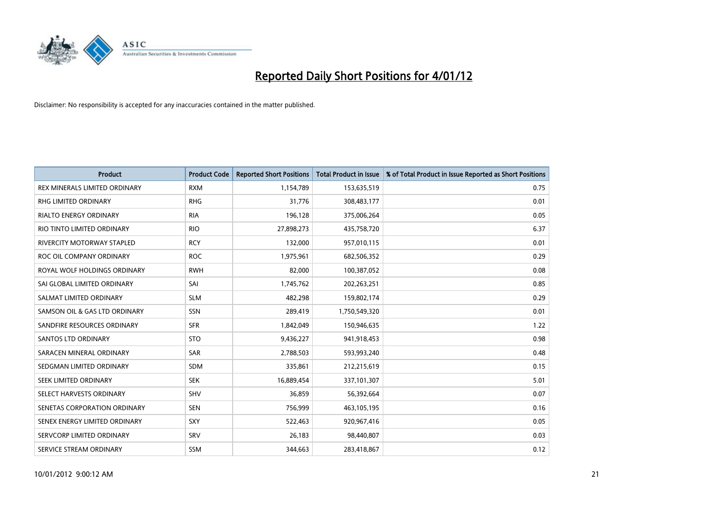

| <b>Product</b>                    | <b>Product Code</b> | <b>Reported Short Positions</b> | <b>Total Product in Issue</b> | % of Total Product in Issue Reported as Short Positions |
|-----------------------------------|---------------------|---------------------------------|-------------------------------|---------------------------------------------------------|
| REX MINERALS LIMITED ORDINARY     | <b>RXM</b>          | 1,154,789                       | 153,635,519                   | 0.75                                                    |
| <b>RHG LIMITED ORDINARY</b>       | <b>RHG</b>          | 31,776                          | 308,483,177                   | 0.01                                                    |
| <b>RIALTO ENERGY ORDINARY</b>     | <b>RIA</b>          | 196,128                         | 375,006,264                   | 0.05                                                    |
| RIO TINTO LIMITED ORDINARY        | <b>RIO</b>          | 27,898,273                      | 435,758,720                   | 6.37                                                    |
| <b>RIVERCITY MOTORWAY STAPLED</b> | <b>RCY</b>          | 132.000                         | 957,010,115                   | 0.01                                                    |
| ROC OIL COMPANY ORDINARY          | <b>ROC</b>          | 1,975,961                       | 682,506,352                   | 0.29                                                    |
| ROYAL WOLF HOLDINGS ORDINARY      | <b>RWH</b>          | 82,000                          | 100,387,052                   | 0.08                                                    |
| SAI GLOBAL LIMITED ORDINARY       | SAI                 | 1,745,762                       | 202,263,251                   | 0.85                                                    |
| SALMAT LIMITED ORDINARY           | <b>SLM</b>          | 482,298                         | 159,802,174                   | 0.29                                                    |
| SAMSON OIL & GAS LTD ORDINARY     | SSN                 | 289,419                         | 1,750,549,320                 | 0.01                                                    |
| SANDFIRE RESOURCES ORDINARY       | <b>SFR</b>          | 1,842,049                       | 150,946,635                   | 1.22                                                    |
| <b>SANTOS LTD ORDINARY</b>        | <b>STO</b>          | 9,436,227                       | 941,918,453                   | 0.98                                                    |
| SARACEN MINERAL ORDINARY          | SAR                 | 2,788,503                       | 593,993,240                   | 0.48                                                    |
| SEDGMAN LIMITED ORDINARY          | <b>SDM</b>          | 335.861                         | 212,215,619                   | 0.15                                                    |
| SEEK LIMITED ORDINARY             | <b>SEK</b>          | 16,889,454                      | 337,101,307                   | 5.01                                                    |
| SELECT HARVESTS ORDINARY          | SHV                 | 36,859                          | 56,392,664                    | 0.07                                                    |
| SENETAS CORPORATION ORDINARY      | <b>SEN</b>          | 756,999                         | 463,105,195                   | 0.16                                                    |
| SENEX ENERGY LIMITED ORDINARY     | <b>SXY</b>          | 522,463                         | 920,967,416                   | 0.05                                                    |
| SERVCORP LIMITED ORDINARY         | SRV                 | 26,183                          | 98,440,807                    | 0.03                                                    |
| SERVICE STREAM ORDINARY           | <b>SSM</b>          | 344.663                         | 283,418,867                   | 0.12                                                    |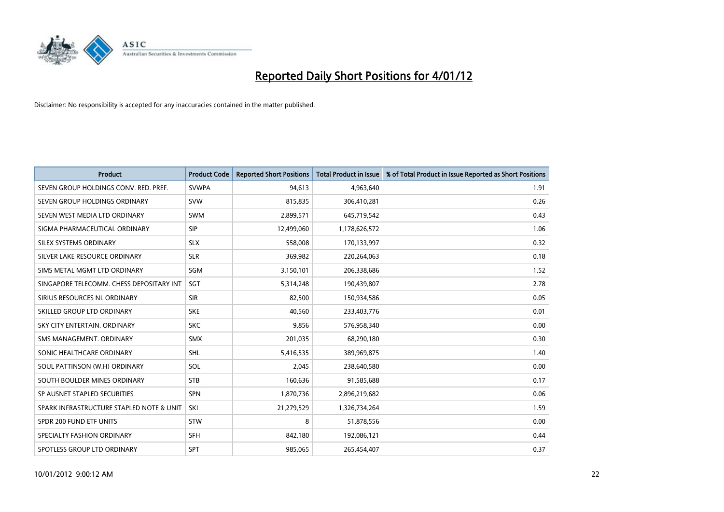

| <b>Product</b>                           | <b>Product Code</b> | <b>Reported Short Positions</b> | <b>Total Product in Issue</b> | % of Total Product in Issue Reported as Short Positions |
|------------------------------------------|---------------------|---------------------------------|-------------------------------|---------------------------------------------------------|
| SEVEN GROUP HOLDINGS CONV. RED. PREF.    | <b>SVWPA</b>        | 94,613                          | 4,963,640                     | 1.91                                                    |
| SEVEN GROUP HOLDINGS ORDINARY            | <b>SVW</b>          | 815,835                         | 306,410,281                   | 0.26                                                    |
| SEVEN WEST MEDIA LTD ORDINARY            | <b>SWM</b>          | 2,899,571                       | 645,719,542                   | 0.43                                                    |
| SIGMA PHARMACEUTICAL ORDINARY            | <b>SIP</b>          | 12,499,060                      | 1,178,626,572                 | 1.06                                                    |
| SILEX SYSTEMS ORDINARY                   | <b>SLX</b>          | 558,008                         | 170,133,997                   | 0.32                                                    |
| SILVER LAKE RESOURCE ORDINARY            | <b>SLR</b>          | 369,982                         | 220,264,063                   | 0.18                                                    |
| SIMS METAL MGMT LTD ORDINARY             | <b>SGM</b>          | 3,150,101                       | 206,338,686                   | 1.52                                                    |
| SINGAPORE TELECOMM. CHESS DEPOSITARY INT | SGT                 | 5,314,248                       | 190,439,807                   | 2.78                                                    |
| SIRIUS RESOURCES NL ORDINARY             | <b>SIR</b>          | 82,500                          | 150,934,586                   | 0.05                                                    |
| SKILLED GROUP LTD ORDINARY               | <b>SKE</b>          | 40.560                          | 233,403,776                   | 0.01                                                    |
| SKY CITY ENTERTAIN, ORDINARY             | <b>SKC</b>          | 9,856                           | 576,958,340                   | 0.00                                                    |
| SMS MANAGEMENT, ORDINARY                 | <b>SMX</b>          | 201,035                         | 68,290,180                    | 0.30                                                    |
| SONIC HEALTHCARE ORDINARY                | <b>SHL</b>          | 5,416,535                       | 389,969,875                   | 1.40                                                    |
| SOUL PATTINSON (W.H) ORDINARY            | <b>SOL</b>          | 2,045                           | 238,640,580                   | 0.00                                                    |
| SOUTH BOULDER MINES ORDINARY             | <b>STB</b>          | 160,636                         | 91,585,688                    | 0.17                                                    |
| SP AUSNET STAPLED SECURITIES             | <b>SPN</b>          | 1,870,736                       | 2,896,219,682                 | 0.06                                                    |
| SPARK INFRASTRUCTURE STAPLED NOTE & UNIT | SKI                 | 21,279,529                      | 1,326,734,264                 | 1.59                                                    |
| SPDR 200 FUND ETF UNITS                  | <b>STW</b>          | 8                               | 51,878,556                    | 0.00                                                    |
| SPECIALTY FASHION ORDINARY               | <b>SFH</b>          | 842,180                         | 192,086,121                   | 0.44                                                    |
| SPOTLESS GROUP LTD ORDINARY              | <b>SPT</b>          | 985,065                         | 265,454,407                   | 0.37                                                    |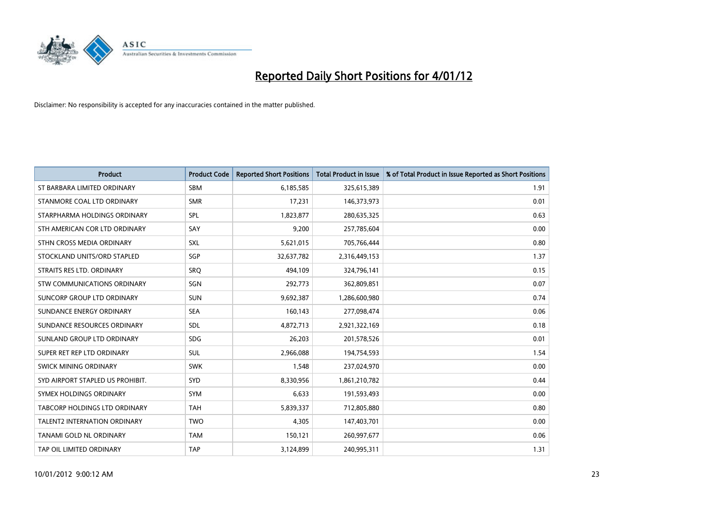

| <b>Product</b>                       | <b>Product Code</b> | <b>Reported Short Positions</b> | <b>Total Product in Issue</b> | % of Total Product in Issue Reported as Short Positions |
|--------------------------------------|---------------------|---------------------------------|-------------------------------|---------------------------------------------------------|
| ST BARBARA LIMITED ORDINARY          | <b>SBM</b>          | 6,185,585                       | 325,615,389                   | 1.91                                                    |
| STANMORE COAL LTD ORDINARY           | <b>SMR</b>          | 17,231                          | 146,373,973                   | 0.01                                                    |
| STARPHARMA HOLDINGS ORDINARY         | SPL                 | 1,823,877                       | 280,635,325                   | 0.63                                                    |
| STH AMERICAN COR LTD ORDINARY        | SAY                 | 9,200                           | 257,785,604                   | 0.00                                                    |
| STHN CROSS MEDIA ORDINARY            | <b>SXL</b>          | 5,621,015                       | 705,766,444                   | 0.80                                                    |
| STOCKLAND UNITS/ORD STAPLED          | SGP                 | 32,637,782                      | 2,316,449,153                 | 1.37                                                    |
| STRAITS RES LTD. ORDINARY            | SRO                 | 494,109                         | 324,796,141                   | 0.15                                                    |
| STW COMMUNICATIONS ORDINARY          | SGN                 | 292,773                         | 362,809,851                   | 0.07                                                    |
| SUNCORP GROUP LTD ORDINARY           | <b>SUN</b>          | 9,692,387                       | 1,286,600,980                 | 0.74                                                    |
| SUNDANCE ENERGY ORDINARY             | <b>SEA</b>          | 160,143                         | 277,098,474                   | 0.06                                                    |
| SUNDANCE RESOURCES ORDINARY          | <b>SDL</b>          | 4,872,713                       | 2,921,322,169                 | 0.18                                                    |
| SUNLAND GROUP LTD ORDINARY           | <b>SDG</b>          | 26,203                          | 201,578,526                   | 0.01                                                    |
| SUPER RET REP LTD ORDINARY           | <b>SUL</b>          | 2,966,088                       | 194,754,593                   | 1.54                                                    |
| SWICK MINING ORDINARY                | <b>SWK</b>          | 1,548                           | 237,024,970                   | 0.00                                                    |
| SYD AIRPORT STAPLED US PROHIBIT.     | SYD                 | 8,330,956                       | 1,861,210,782                 | 0.44                                                    |
| SYMEX HOLDINGS ORDINARY              | <b>SYM</b>          | 6,633                           | 191,593,493                   | 0.00                                                    |
| <b>TABCORP HOLDINGS LTD ORDINARY</b> | <b>TAH</b>          | 5,839,337                       | 712,805,880                   | 0.80                                                    |
| <b>TALENT2 INTERNATION ORDINARY</b>  | <b>TWO</b>          | 4,305                           | 147,403,701                   | 0.00                                                    |
| TANAMI GOLD NL ORDINARY              | <b>TAM</b>          | 150,121                         | 260,997,677                   | 0.06                                                    |
| TAP OIL LIMITED ORDINARY             | <b>TAP</b>          | 3,124,899                       | 240,995,311                   | 1.31                                                    |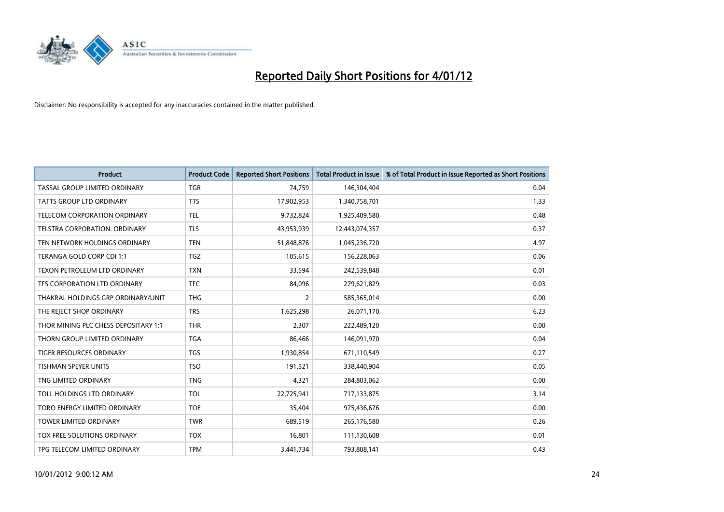

| <b>Product</b>                       | <b>Product Code</b> | <b>Reported Short Positions</b> | <b>Total Product in Issue</b> | % of Total Product in Issue Reported as Short Positions |
|--------------------------------------|---------------------|---------------------------------|-------------------------------|---------------------------------------------------------|
| TASSAL GROUP LIMITED ORDINARY        | <b>TGR</b>          | 74,759                          | 146,304,404                   | 0.04                                                    |
| TATTS GROUP LTD ORDINARY             | <b>TTS</b>          | 17,902,953                      | 1,340,758,701                 | 1.33                                                    |
| <b>TELECOM CORPORATION ORDINARY</b>  | <b>TEL</b>          | 9,732,824                       | 1,925,409,580                 | 0.48                                                    |
| TELSTRA CORPORATION. ORDINARY        | <b>TLS</b>          | 43,953,939                      | 12,443,074,357                | 0.37                                                    |
| TEN NETWORK HOLDINGS ORDINARY        | <b>TEN</b>          | 51,848,876                      | 1,045,236,720                 | 4.97                                                    |
| TERANGA GOLD CORP CDI 1:1            | <b>TGZ</b>          | 105,615                         | 156,228,063                   | 0.06                                                    |
| TEXON PETROLEUM LTD ORDINARY         | <b>TXN</b>          | 33,594                          | 242,539,848                   | 0.01                                                    |
| TFS CORPORATION LTD ORDINARY         | <b>TFC</b>          | 84,096                          | 279,621,829                   | 0.03                                                    |
| THAKRAL HOLDINGS GRP ORDINARY/UNIT   | <b>THG</b>          | 2                               | 585,365,014                   | 0.00                                                    |
| THE REJECT SHOP ORDINARY             | <b>TRS</b>          | 1,625,298                       | 26,071,170                    | 6.23                                                    |
| THOR MINING PLC CHESS DEPOSITARY 1:1 | <b>THR</b>          | 2,307                           | 222,489,120                   | 0.00                                                    |
| THORN GROUP LIMITED ORDINARY         | <b>TGA</b>          | 86,466                          | 146,091,970                   | 0.04                                                    |
| TIGER RESOURCES ORDINARY             | <b>TGS</b>          | 1,930,854                       | 671,110,549                   | 0.27                                                    |
| <b>TISHMAN SPEYER UNITS</b>          | <b>TSO</b>          | 191,521                         | 338,440,904                   | 0.05                                                    |
| TNG LIMITED ORDINARY                 | <b>TNG</b>          | 4,321                           | 284,803,062                   | 0.00                                                    |
| TOLL HOLDINGS LTD ORDINARY           | TOL                 | 22,725,941                      | 717,133,875                   | 3.14                                                    |
| TORO ENERGY LIMITED ORDINARY         | <b>TOE</b>          | 35,404                          | 975,436,676                   | 0.00                                                    |
| TOWER LIMITED ORDINARY               | <b>TWR</b>          | 689,519                         | 265,176,580                   | 0.26                                                    |
| <b>TOX FREE SOLUTIONS ORDINARY</b>   | <b>TOX</b>          | 16,801                          | 111,130,608                   | 0.01                                                    |
| TPG TELECOM LIMITED ORDINARY         | <b>TPM</b>          | 3,441,734                       | 793,808,141                   | 0.43                                                    |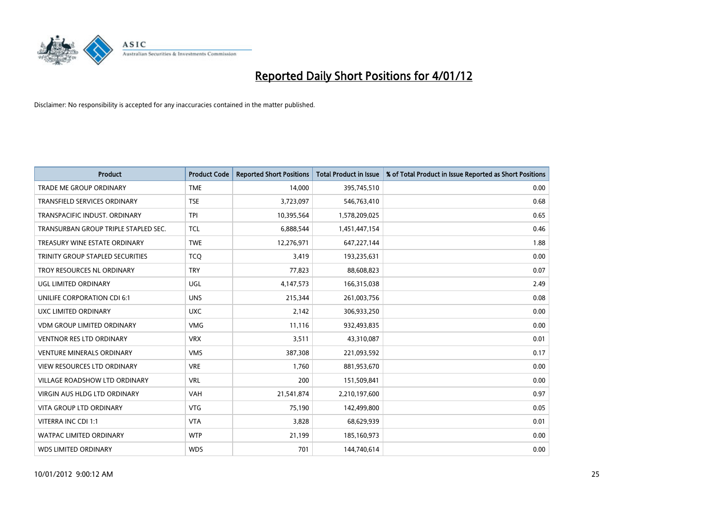

| <b>Product</b>                       | <b>Product Code</b> | <b>Reported Short Positions</b> | <b>Total Product in Issue</b> | % of Total Product in Issue Reported as Short Positions |
|--------------------------------------|---------------------|---------------------------------|-------------------------------|---------------------------------------------------------|
| <b>TRADE ME GROUP ORDINARY</b>       | <b>TME</b>          | 14,000                          | 395,745,510                   | 0.00                                                    |
| TRANSFIELD SERVICES ORDINARY         | <b>TSE</b>          | 3,723,097                       | 546,763,410                   | 0.68                                                    |
| TRANSPACIFIC INDUST, ORDINARY        | <b>TPI</b>          | 10,395,564                      | 1,578,209,025                 | 0.65                                                    |
| TRANSURBAN GROUP TRIPLE STAPLED SEC. | <b>TCL</b>          | 6,888,544                       | 1,451,447,154                 | 0.46                                                    |
| TREASURY WINE ESTATE ORDINARY        | <b>TWE</b>          | 12,276,971                      | 647,227,144                   | 1.88                                                    |
| TRINITY GROUP STAPLED SECURITIES     | <b>TCO</b>          | 3,419                           | 193,235,631                   | 0.00                                                    |
| TROY RESOURCES NL ORDINARY           | <b>TRY</b>          | 77,823                          | 88,608,823                    | 0.07                                                    |
| UGL LIMITED ORDINARY                 | UGL                 | 4,147,573                       | 166,315,038                   | 2.49                                                    |
| UNILIFE CORPORATION CDI 6:1          | <b>UNS</b>          | 215,344                         | 261,003,756                   | 0.08                                                    |
| UXC LIMITED ORDINARY                 | <b>UXC</b>          | 2,142                           | 306,933,250                   | 0.00                                                    |
| <b>VDM GROUP LIMITED ORDINARY</b>    | <b>VMG</b>          | 11,116                          | 932,493,835                   | 0.00                                                    |
| <b>VENTNOR RES LTD ORDINARY</b>      | <b>VRX</b>          | 3,511                           | 43,310,087                    | 0.01                                                    |
| <b>VENTURE MINERALS ORDINARY</b>     | <b>VMS</b>          | 387,308                         | 221,093,592                   | 0.17                                                    |
| VIEW RESOURCES LTD ORDINARY          | <b>VRE</b>          | 1,760                           | 881,953,670                   | 0.00                                                    |
| <b>VILLAGE ROADSHOW LTD ORDINARY</b> | <b>VRL</b>          | 200                             | 151,509,841                   | 0.00                                                    |
| <b>VIRGIN AUS HLDG LTD ORDINARY</b>  | VAH                 | 21,541,874                      | 2,210,197,600                 | 0.97                                                    |
| VITA GROUP LTD ORDINARY              | <b>VTG</b>          | 75,190                          | 142,499,800                   | 0.05                                                    |
| VITERRA INC CDI 1:1                  | <b>VTA</b>          | 3,828                           | 68,629,939                    | 0.01                                                    |
| <b>WATPAC LIMITED ORDINARY</b>       | <b>WTP</b>          | 21,199                          | 185,160,973                   | 0.00                                                    |
| <b>WDS LIMITED ORDINARY</b>          | <b>WDS</b>          | 701                             | 144,740,614                   | 0.00                                                    |